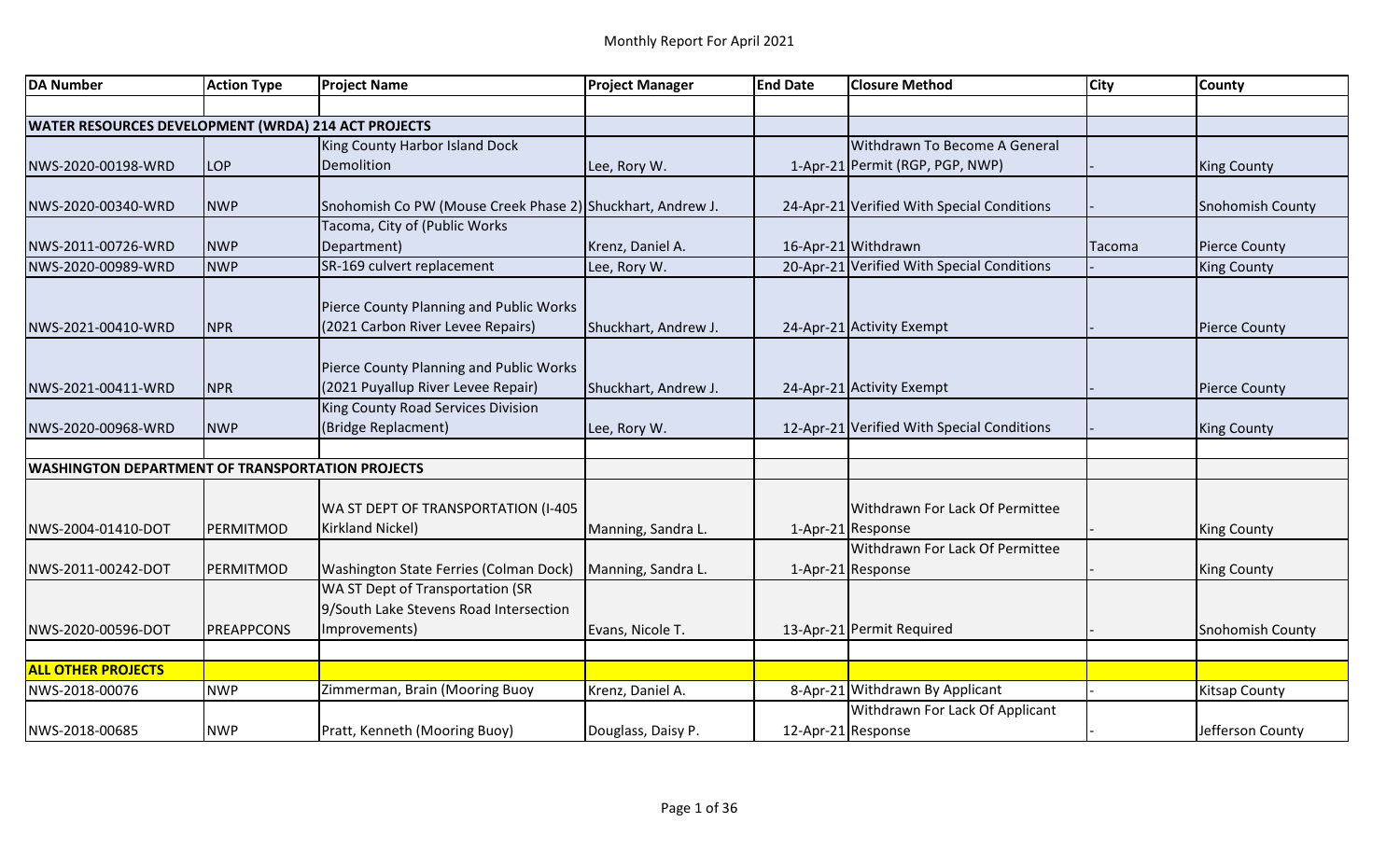| <b>DA Number</b>                                        | <b>Action Type</b> | <b>Project Name</b>                                        | <b>Project Manager</b> | <b>End Date</b> | <b>Closure Method</b>                      | <b>City</b> | <b>County</b>           |
|---------------------------------------------------------|--------------------|------------------------------------------------------------|------------------------|-----------------|--------------------------------------------|-------------|-------------------------|
|                                                         |                    |                                                            |                        |                 |                                            |             |                         |
| WATER RESOURCES DEVELOPMENT (WRDA) 214 ACT PROJECTS     |                    |                                                            |                        |                 |                                            |             |                         |
|                                                         |                    | King County Harbor Island Dock                             |                        |                 | Withdrawn To Become A General              |             |                         |
| NWS-2020-00198-WRD                                      | <b>LOP</b>         | Demolition                                                 | Lee, Rory W.           |                 | 1-Apr-21 Permit (RGP, PGP, NWP)            |             | <b>King County</b>      |
|                                                         |                    |                                                            |                        |                 |                                            |             |                         |
| NWS-2020-00340-WRD                                      | <b>NWP</b>         | Snohomish Co PW (Mouse Creek Phase 2) Shuckhart, Andrew J. |                        |                 | 24-Apr-21 Verified With Special Conditions |             | <b>Snohomish County</b> |
|                                                         |                    | Tacoma, City of (Public Works                              |                        |                 |                                            |             |                         |
| NWS-2011-00726-WRD                                      | <b>NWP</b>         | Department)                                                | Krenz, Daniel A.       |                 | 16-Apr-21 Withdrawn                        | Tacoma      | <b>Pierce County</b>    |
| NWS-2020-00989-WRD                                      | <b>NWP</b>         | SR-169 culvert replacement                                 | Lee, Rory W.           |                 | 20-Apr-21 Verified With Special Conditions |             | <b>King County</b>      |
|                                                         |                    |                                                            |                        |                 |                                            |             |                         |
|                                                         |                    | Pierce County Planning and Public Works                    |                        |                 |                                            |             |                         |
| NWS-2021-00410-WRD                                      | <b>NPR</b>         | (2021 Carbon River Levee Repairs)                          | Shuckhart, Andrew J.   |                 | 24-Apr-21 Activity Exempt                  |             | <b>Pierce County</b>    |
|                                                         |                    |                                                            |                        |                 |                                            |             |                         |
|                                                         |                    | Pierce County Planning and Public Works                    |                        |                 |                                            |             |                         |
| NWS-2021-00411-WRD                                      | <b>NPR</b>         | (2021 Puyallup River Levee Repair)                         | Shuckhart, Andrew J.   |                 | 24-Apr-21 Activity Exempt                  |             | <b>Pierce County</b>    |
|                                                         |                    | King County Road Services Division                         |                        |                 |                                            |             |                         |
| NWS-2020-00968-WRD                                      | <b>NWP</b>         | (Bridge Replacment)                                        | Lee, Rory W.           |                 | 12-Apr-21 Verified With Special Conditions |             | King County             |
|                                                         |                    |                                                            |                        |                 |                                            |             |                         |
| <b>WASHINGTON DEPARTMENT OF TRANSPORTATION PROJECTS</b> |                    |                                                            |                        |                 |                                            |             |                         |
|                                                         |                    |                                                            |                        |                 |                                            |             |                         |
|                                                         |                    | WA ST DEPT OF TRANSPORTATION (I-405                        |                        |                 | Withdrawn For Lack Of Permittee            |             |                         |
| NWS-2004-01410-DOT                                      | PERMITMOD          | <b>Kirkland Nickel)</b>                                    | Manning, Sandra L.     |                 | 1-Apr-21 Response                          |             | <b>King County</b>      |
|                                                         |                    |                                                            |                        |                 | Withdrawn For Lack Of Permittee            |             |                         |
| NWS-2011-00242-DOT                                      | PERMITMOD          | Washington State Ferries (Colman Dock)                     | Manning, Sandra L.     |                 | 1-Apr-21 Response                          |             | King County             |
|                                                         |                    | WA ST Dept of Transportation (SR                           |                        |                 |                                            |             |                         |
|                                                         |                    | 9/South Lake Stevens Road Intersection                     |                        |                 |                                            |             |                         |
| NWS-2020-00596-DOT                                      | <b>PREAPPCONS</b>  | Improvements)                                              | Evans, Nicole T.       |                 | 13-Apr-21 Permit Required                  |             | <b>Snohomish County</b> |
|                                                         |                    |                                                            |                        |                 |                                            |             |                         |
| <b>ALL OTHER PROJECTS</b>                               |                    |                                                            |                        |                 |                                            |             |                         |
| NWS-2018-00076                                          | <b>NWP</b>         | Zimmerman, Brain (Mooring Buoy                             | Krenz, Daniel A.       |                 | 8-Apr-21 Withdrawn By Applicant            |             | Kitsap County           |
|                                                         |                    |                                                            |                        |                 | Withdrawn For Lack Of Applicant            |             |                         |
| NWS-2018-00685                                          | <b>NWP</b>         | Pratt, Kenneth (Mooring Buoy)                              | Douglass, Daisy P.     |                 | 12-Apr-21 Response                         |             | Jefferson County        |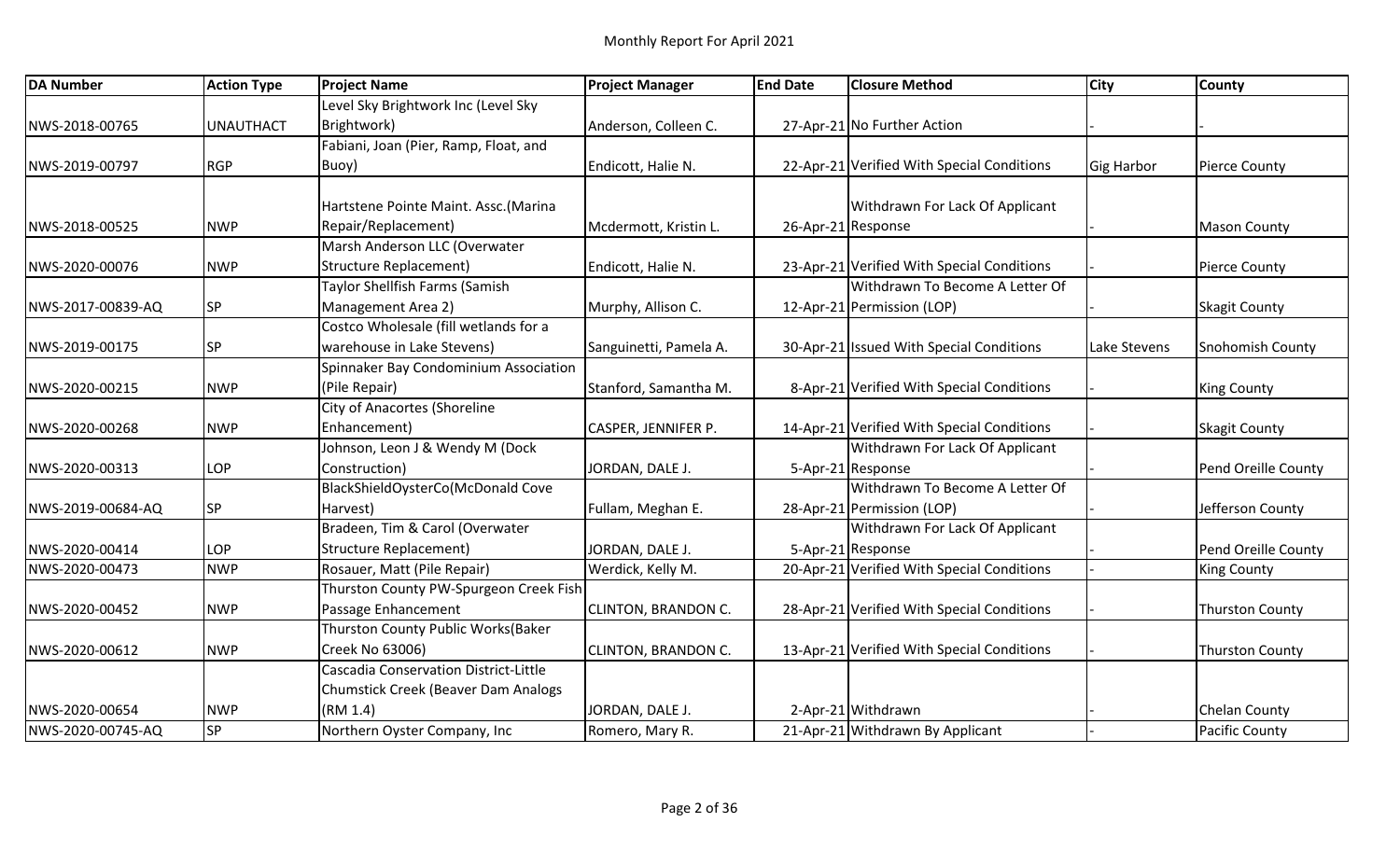| <b>DA Number</b>  | <b>Action Type</b> | <b>Project Name</b>                        | <b>Project Manager</b>     | <b>End Date</b>    | <b>Closure Method</b>                      | <b>City</b>       | <b>County</b>          |
|-------------------|--------------------|--------------------------------------------|----------------------------|--------------------|--------------------------------------------|-------------------|------------------------|
|                   |                    | Level Sky Brightwork Inc (Level Sky        |                            |                    |                                            |                   |                        |
| NWS-2018-00765    | <b>UNAUTHACT</b>   | Brightwork)                                | Anderson, Colleen C.       |                    | 27-Apr-21 No Further Action                |                   |                        |
|                   |                    | Fabiani, Joan (Pier, Ramp, Float, and      |                            |                    |                                            |                   |                        |
| NWS-2019-00797    | <b>RGP</b>         | Buoy)                                      | Endicott, Halie N.         |                    | 22-Apr-21 Verified With Special Conditions | <b>Gig Harbor</b> | <b>Pierce County</b>   |
|                   |                    |                                            |                            |                    |                                            |                   |                        |
|                   |                    | Hartstene Pointe Maint. Assc. (Marina      |                            |                    | Withdrawn For Lack Of Applicant            |                   |                        |
| NWS-2018-00525    | <b>NWP</b>         | Repair/Replacement)                        | Mcdermott, Kristin L.      | 26-Apr-21 Response |                                            |                   | <b>Mason County</b>    |
|                   |                    | Marsh Anderson LLC (Overwater              |                            |                    |                                            |                   |                        |
| NWS-2020-00076    | <b>NWP</b>         | <b>Structure Replacement)</b>              | Endicott, Halie N.         |                    | 23-Apr-21 Verified With Special Conditions |                   | <b>Pierce County</b>   |
|                   |                    | Taylor Shellfish Farms (Samish             |                            |                    | Withdrawn To Become A Letter Of            |                   |                        |
| NWS-2017-00839-AQ | <b>SP</b>          | Management Area 2)                         | Murphy, Allison C.         |                    | 12-Apr-21 Permission (LOP)                 |                   | <b>Skagit County</b>   |
|                   |                    | Costco Wholesale (fill wetlands for a      |                            |                    |                                            |                   |                        |
| NWS-2019-00175    | <b>SP</b>          | warehouse in Lake Stevens)                 | Sanguinetti, Pamela A.     |                    | 30-Apr-21 Issued With Special Conditions   | Lake Stevens      | Snohomish County       |
|                   |                    | Spinnaker Bay Condominium Association      |                            |                    |                                            |                   |                        |
| NWS-2020-00215    | <b>NWP</b>         | (Pile Repair)                              | Stanford, Samantha M.      |                    | 8-Apr-21 Verified With Special Conditions  |                   | <b>King County</b>     |
|                   |                    | City of Anacortes (Shoreline               |                            |                    |                                            |                   |                        |
| NWS-2020-00268    | <b>NWP</b>         | Enhancement)                               | CASPER, JENNIFER P.        |                    | 14-Apr-21 Verified With Special Conditions |                   | <b>Skagit County</b>   |
|                   |                    | Johnson, Leon J & Wendy M (Dock            |                            |                    | Withdrawn For Lack Of Applicant            |                   |                        |
| NWS-2020-00313    | LOP                | Construction)                              | JORDAN, DALE J.            |                    | 5-Apr-21 Response                          |                   | Pend Oreille County    |
|                   |                    | BlackShieldOysterCo(McDonald Cove          |                            |                    | Withdrawn To Become A Letter Of            |                   |                        |
| NWS-2019-00684-AQ | <b>SP</b>          | Harvest)                                   | Fullam, Meghan E.          |                    | 28-Apr-21 Permission (LOP)                 |                   | Jefferson County       |
|                   |                    | Bradeen, Tim & Carol (Overwater            |                            |                    | Withdrawn For Lack Of Applicant            |                   |                        |
| NWS-2020-00414    | LOP                | <b>Structure Replacement)</b>              | JORDAN, DALE J.            |                    | 5-Apr-21 Response                          |                   | Pend Oreille County    |
| NWS-2020-00473    | <b>NWP</b>         | Rosauer, Matt (Pile Repair)                | Werdick, Kelly M.          |                    | 20-Apr-21 Verified With Special Conditions |                   | <b>King County</b>     |
|                   |                    | Thurston County PW-Spurgeon Creek Fish     |                            |                    |                                            |                   |                        |
| NWS-2020-00452    | <b>NWP</b>         | Passage Enhancement                        | <b>CLINTON, BRANDON C.</b> |                    | 28-Apr-21 Verified With Special Conditions |                   | <b>Thurston County</b> |
|                   |                    | Thurston County Public Works(Baker         |                            |                    |                                            |                   |                        |
| NWS-2020-00612    | <b>NWP</b>         | Creek No 63006)                            | <b>CLINTON, BRANDON C.</b> |                    | 13-Apr-21 Verified With Special Conditions |                   | <b>Thurston County</b> |
|                   |                    | Cascadia Conservation District-Little      |                            |                    |                                            |                   |                        |
|                   |                    | <b>Chumstick Creek (Beaver Dam Analogs</b> |                            |                    |                                            |                   |                        |
| NWS-2020-00654    | <b>NWP</b>         | (RM 1.4)                                   | JORDAN, DALE J.            |                    | 2-Apr-21 Withdrawn                         |                   | <b>Chelan County</b>   |
| NWS-2020-00745-AQ | <b>SP</b>          | Northern Oyster Company, Inc               | Romero, Mary R.            |                    | 21-Apr-21 Withdrawn By Applicant           |                   | <b>Pacific County</b>  |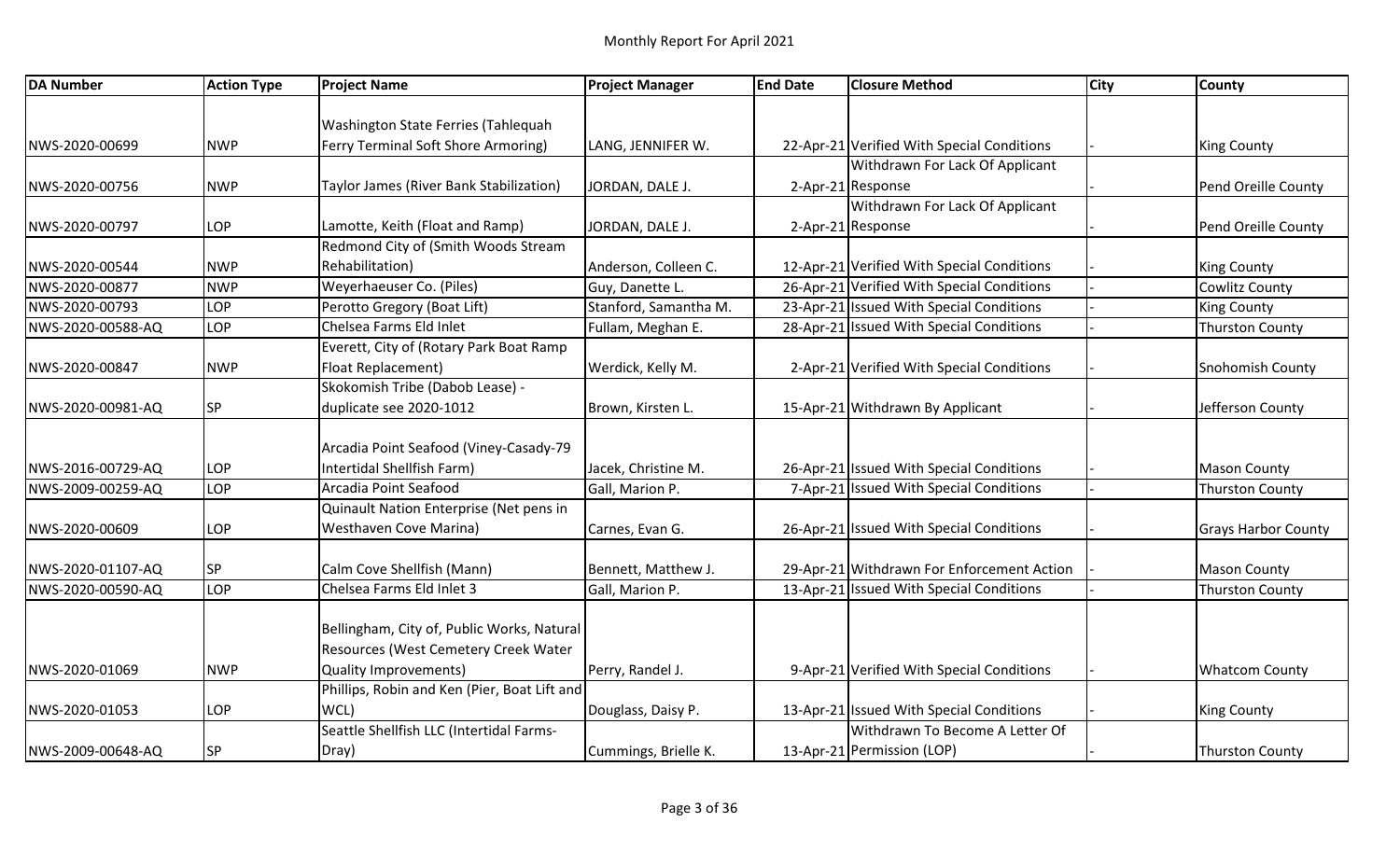| <b>DA Number</b>  | <b>Action Type</b> | <b>Project Name</b>                          | <b>Project Manager</b> | <b>End Date</b> | <b>Closure Method</b>                      | <b>City</b> | <b>County</b>              |
|-------------------|--------------------|----------------------------------------------|------------------------|-----------------|--------------------------------------------|-------------|----------------------------|
|                   |                    |                                              |                        |                 |                                            |             |                            |
|                   |                    | Washington State Ferries (Tahlequah          |                        |                 |                                            |             |                            |
| NWS-2020-00699    | <b>NWP</b>         | Ferry Terminal Soft Shore Armoring)          | LANG, JENNIFER W.      |                 | 22-Apr-21 Verified With Special Conditions |             | King County                |
|                   |                    |                                              |                        |                 | Withdrawn For Lack Of Applicant            |             |                            |
| NWS-2020-00756    | <b>NWP</b>         | Taylor James (River Bank Stabilization)      | JORDAN, DALE J.        |                 | 2-Apr-21 Response                          |             | Pend Oreille County        |
|                   |                    |                                              |                        |                 | Withdrawn For Lack Of Applicant            |             |                            |
| NWS-2020-00797    | LOP                | Lamotte, Keith (Float and Ramp)              | JORDAN, DALE J.        |                 | 2-Apr-21 Response                          |             | Pend Oreille County        |
|                   |                    | Redmond City of (Smith Woods Stream          |                        |                 |                                            |             |                            |
| NWS-2020-00544    | <b>NWP</b>         | Rehabilitation)                              | Anderson, Colleen C.   |                 | 12-Apr-21 Verified With Special Conditions |             | <b>King County</b>         |
| NWS-2020-00877    | <b>NWP</b>         | Weyerhaeuser Co. (Piles)                     | Guy, Danette L.        |                 | 26-Apr-21 Verified With Special Conditions |             | Cowlitz County             |
| NWS-2020-00793    | LOP                | Perotto Gregory (Boat Lift)                  | Stanford, Samantha M.  |                 | 23-Apr-21 Issued With Special Conditions   |             | <b>King County</b>         |
| NWS-2020-00588-AQ | LOP                | Chelsea Farms Eld Inlet                      | Fullam, Meghan E.      |                 | 28-Apr-21 Issued With Special Conditions   |             | <b>Thurston County</b>     |
|                   |                    | Everett, City of (Rotary Park Boat Ramp      |                        |                 |                                            |             |                            |
| NWS-2020-00847    | <b>NWP</b>         | Float Replacement)                           | Werdick, Kelly M.      |                 | 2-Apr-21 Verified With Special Conditions  |             | <b>Snohomish County</b>    |
|                   |                    | Skokomish Tribe (Dabob Lease) -              |                        |                 |                                            |             |                            |
| NWS-2020-00981-AQ | <b>SP</b>          | duplicate see 2020-1012                      | Brown, Kirsten L.      |                 | 15-Apr-21 Withdrawn By Applicant           |             | Jefferson County           |
|                   |                    |                                              |                        |                 |                                            |             |                            |
|                   |                    | Arcadia Point Seafood (Viney-Casady-79       |                        |                 |                                            |             |                            |
| NWS-2016-00729-AQ | LOP                | Intertidal Shellfish Farm)                   | Jacek, Christine M.    |                 | 26-Apr-21 Issued With Special Conditions   |             | <b>Mason County</b>        |
| NWS-2009-00259-AQ | <b>LOP</b>         | Arcadia Point Seafood                        | Gall, Marion P.        |                 | 7-Apr-21 Issued With Special Conditions    |             | <b>Thurston County</b>     |
|                   |                    | Quinault Nation Enterprise (Net pens in      |                        |                 |                                            |             |                            |
| NWS-2020-00609    | LOP                | <b>Westhaven Cove Marina)</b>                | Carnes, Evan G.        |                 | 26-Apr-21 Issued With Special Conditions   |             | <b>Grays Harbor County</b> |
|                   |                    |                                              |                        |                 |                                            |             |                            |
| NWS-2020-01107-AQ | <b>SP</b>          | Calm Cove Shellfish (Mann)                   | Bennett, Matthew J.    |                 | 29-Apr-21 Withdrawn For Enforcement Action |             | <b>Mason County</b>        |
| NWS-2020-00590-AQ | LOP                | Chelsea Farms Eld Inlet 3                    | Gall, Marion P.        |                 | 13-Apr-21 Issued With Special Conditions   |             | <b>Thurston County</b>     |
|                   |                    |                                              |                        |                 |                                            |             |                            |
|                   |                    | Bellingham, City of, Public Works, Natural   |                        |                 |                                            |             |                            |
|                   |                    | Resources (West Cemetery Creek Water         |                        |                 |                                            |             |                            |
| NWS-2020-01069    | <b>NWP</b>         | <b>Quality Improvements)</b>                 | Perry, Randel J.       |                 | 9-Apr-21 Verified With Special Conditions  |             | <b>Whatcom County</b>      |
|                   |                    | Phillips, Robin and Ken (Pier, Boat Lift and |                        |                 |                                            |             |                            |
| NWS-2020-01053    | LOP                | WCL)                                         | Douglass, Daisy P.     |                 | 13-Apr-21 Issued With Special Conditions   |             | <b>King County</b>         |
|                   |                    | Seattle Shellfish LLC (Intertidal Farms-     |                        |                 | Withdrawn To Become A Letter Of            |             |                            |
| NWS-2009-00648-AQ | <b>SP</b>          | Dray)                                        | Cummings, Brielle K.   |                 | 13-Apr-21 Permission (LOP)                 |             | Thurston County            |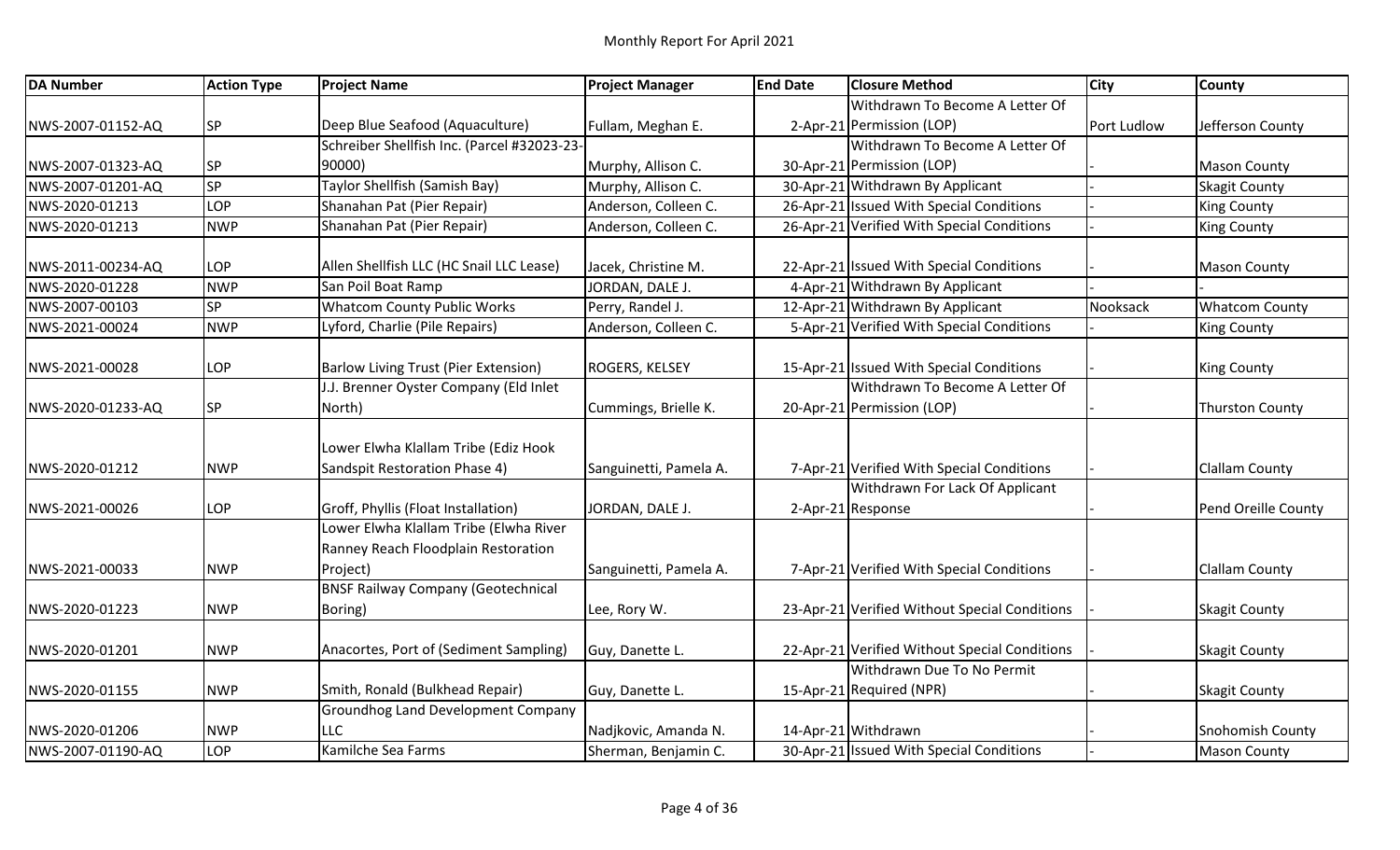| <b>DA Number</b>  | <b>Action Type</b> | <b>Project Name</b>                                                           | <b>Project Manager</b> | <b>End Date</b> | <b>Closure Method</b>                                  | <b>City</b> | <b>County</b>           |
|-------------------|--------------------|-------------------------------------------------------------------------------|------------------------|-----------------|--------------------------------------------------------|-------------|-------------------------|
|                   |                    |                                                                               |                        |                 | Withdrawn To Become A Letter Of                        |             |                         |
| NWS-2007-01152-AQ | <b>SP</b>          | Deep Blue Seafood (Aquaculture)                                               | Fullam, Meghan E.      |                 | 2-Apr-21 Permission (LOP)                              | Port Ludlow | Jefferson County        |
|                   |                    | Schreiber Shellfish Inc. (Parcel #32023-23-                                   |                        |                 | Withdrawn To Become A Letter Of                        |             |                         |
| NWS-2007-01323-AQ | <b>SP</b>          | 90000)                                                                        | Murphy, Allison C.     |                 | 30-Apr-21 Permission (LOP)                             |             | <b>Mason County</b>     |
| NWS-2007-01201-AQ | SP                 | Taylor Shellfish (Samish Bay)                                                 | Murphy, Allison C.     |                 | 30-Apr-21 Withdrawn By Applicant                       |             | <b>Skagit County</b>    |
| NWS-2020-01213    | LOP                | Shanahan Pat (Pier Repair)                                                    | Anderson, Colleen C.   |                 | 26-Apr-21 Issued With Special Conditions               |             | <b>King County</b>      |
| NWS-2020-01213    | <b>NWP</b>         | Shanahan Pat (Pier Repair)                                                    | Anderson, Colleen C.   |                 | 26-Apr-21 Verified With Special Conditions             |             | <b>King County</b>      |
| NWS-2011-00234-AQ | LOP                | Allen Shellfish LLC (HC Snail LLC Lease)                                      | Jacek, Christine M.    |                 | 22-Apr-21 Issued With Special Conditions               |             | <b>Mason County</b>     |
| NWS-2020-01228    | <b>NWP</b>         | San Poil Boat Ramp                                                            | JORDAN, DALE J.        |                 | 4-Apr-21 Withdrawn By Applicant                        |             |                         |
| NWS-2007-00103    | <b>SP</b>          | <b>Whatcom County Public Works</b>                                            | Perry, Randel J.       |                 | 12-Apr-21 Withdrawn By Applicant                       | Nooksack    | <b>Whatcom County</b>   |
| NWS-2021-00024    | <b>NWP</b>         | Lyford, Charlie (Pile Repairs)                                                | Anderson, Colleen C.   |                 | 5-Apr-21 Verified With Special Conditions              |             | <b>King County</b>      |
| NWS-2021-00028    | LOP                | <b>Barlow Living Trust (Pier Extension)</b>                                   | <b>ROGERS, KELSEY</b>  |                 | 15-Apr-21 Issued With Special Conditions               |             | <b>King County</b>      |
|                   |                    | J.J. Brenner Oyster Company (Eld Inlet                                        |                        |                 | Withdrawn To Become A Letter Of                        |             |                         |
| NWS-2020-01233-AQ | <b>SP</b>          | North)                                                                        | Cummings, Brielle K.   |                 | 20-Apr-21 Permission (LOP)                             |             | <b>Thurston County</b>  |
|                   |                    | Lower Elwha Klallam Tribe (Ediz Hook                                          |                        |                 |                                                        |             |                         |
| NWS-2020-01212    | <b>NWP</b>         | Sandspit Restoration Phase 4)                                                 | Sanguinetti, Pamela A. |                 | 7-Apr-21 Verified With Special Conditions              |             | <b>Clallam County</b>   |
| NWS-2021-00026    | LOP                | Groff, Phyllis (Float Installation)                                           | JORDAN, DALE J.        |                 | Withdrawn For Lack Of Applicant<br>2-Apr-21 Response   |             | Pend Oreille County     |
|                   |                    | Lower Elwha Klallam Tribe (Elwha River<br>Ranney Reach Floodplain Restoration |                        |                 |                                                        |             |                         |
| NWS-2021-00033    | <b>NWP</b>         | Project)                                                                      | Sanguinetti, Pamela A. |                 | 7-Apr-21 Verified With Special Conditions              |             | <b>Clallam County</b>   |
| NWS-2020-01223    | <b>NWP</b>         | <b>BNSF Railway Company (Geotechnical</b><br>Boring)                          | Lee, Rory W.           |                 | 23-Apr-21 Verified Without Special Conditions          |             | Skagit County           |
| NWS-2020-01201    | <b>NWP</b>         | Anacortes, Port of (Sediment Sampling)                                        | Guy, Danette L.        |                 | 22-Apr-21 Verified Without Special Conditions          |             | Skagit County           |
| NWS-2020-01155    | <b>NWP</b>         | Smith, Ronald (Bulkhead Repair)                                               | Guy, Danette L.        |                 | Withdrawn Due To No Permit<br>15-Apr-21 Required (NPR) |             | <b>Skagit County</b>    |
|                   |                    | <b>Groundhog Land Development Company</b>                                     |                        |                 |                                                        |             |                         |
| NWS-2020-01206    | <b>NWP</b>         | LLC                                                                           | Nadjkovic, Amanda N.   |                 | 14-Apr-21 Withdrawn                                    |             | <b>Snohomish County</b> |
| NWS-2007-01190-AQ | LOP                | Kamilche Sea Farms                                                            | Sherman, Benjamin C.   |                 | 30-Apr-21 Issued With Special Conditions               |             | Mason County            |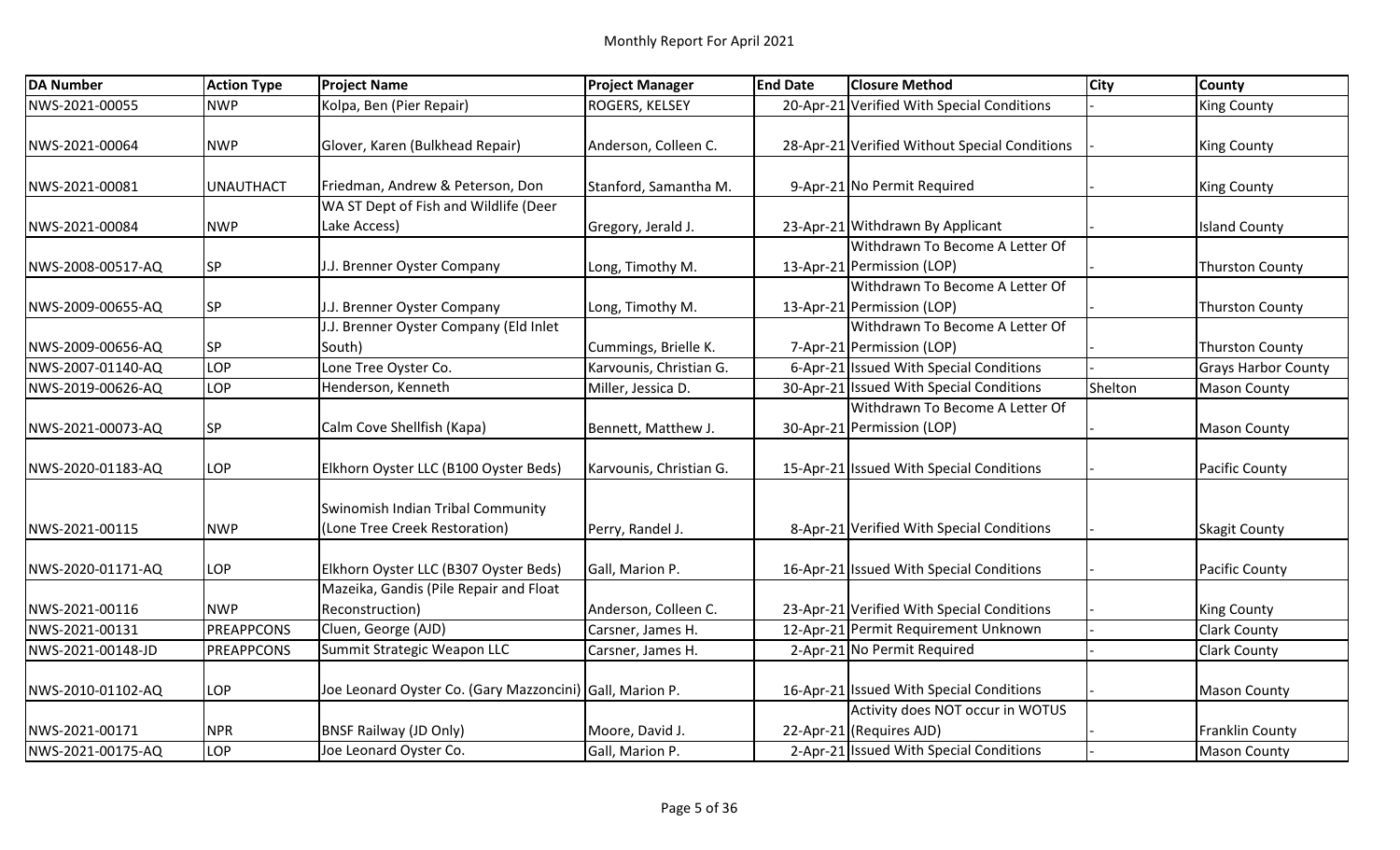| <b>DA Number</b>  | <b>Action Type</b> | <b>Project Name</b>                                      | <b>Project Manager</b>  | <b>End Date</b> | <b>Closure Method</b>                         | <b>City</b> | <b>County</b>              |
|-------------------|--------------------|----------------------------------------------------------|-------------------------|-----------------|-----------------------------------------------|-------------|----------------------------|
| NWS-2021-00055    | <b>NWP</b>         | Kolpa, Ben (Pier Repair)                                 | ROGERS, KELSEY          |                 | 20-Apr-21 Verified With Special Conditions    |             | <b>King County</b>         |
|                   |                    |                                                          |                         |                 |                                               |             |                            |
| NWS-2021-00064    | <b>NWP</b>         | Glover, Karen (Bulkhead Repair)                          | Anderson, Colleen C.    |                 | 28-Apr-21 Verified Without Special Conditions |             | <b>King County</b>         |
|                   |                    |                                                          |                         |                 |                                               |             |                            |
| NWS-2021-00081    | <b>UNAUTHACT</b>   | Friedman, Andrew & Peterson, Don                         | Stanford, Samantha M.   |                 | 9-Apr-21 No Permit Required                   |             | <b>King County</b>         |
|                   |                    | WA ST Dept of Fish and Wildlife (Deer                    |                         |                 |                                               |             |                            |
| NWS-2021-00084    | <b>NWP</b>         | Lake Access)                                             | Gregory, Jerald J.      |                 | 23-Apr-21 Withdrawn By Applicant              |             | <b>Island County</b>       |
|                   |                    |                                                          |                         |                 | Withdrawn To Become A Letter Of               |             |                            |
| NWS-2008-00517-AQ | <b>SP</b>          | J.J. Brenner Oyster Company                              | Long, Timothy M.        |                 | 13-Apr-21 Permission (LOP)                    |             | <b>Thurston County</b>     |
|                   |                    |                                                          |                         |                 | Withdrawn To Become A Letter Of               |             |                            |
| NWS-2009-00655-AQ | <b>SP</b>          | J.J. Brenner Oyster Company                              | Long, Timothy M.        |                 | 13-Apr-21 Permission (LOP)                    |             | <b>Thurston County</b>     |
|                   |                    | J.J. Brenner Oyster Company (Eld Inlet                   |                         |                 | Withdrawn To Become A Letter Of               |             |                            |
| NWS-2009-00656-AQ | <b>SP</b>          | South)                                                   | Cummings, Brielle K.    |                 | 7-Apr-21 Permission (LOP)                     |             | <b>Thurston County</b>     |
| NWS-2007-01140-AQ | LOP                | Lone Tree Oyster Co.                                     | Karvounis, Christian G. |                 | 6-Apr-21 Issued With Special Conditions       |             | <b>Grays Harbor County</b> |
| NWS-2019-00626-AQ | LOP                | Henderson, Kenneth                                       | Miller, Jessica D.      |                 | 30-Apr-21 Issued With Special Conditions      | Shelton     | <b>Mason County</b>        |
|                   |                    |                                                          |                         |                 | Withdrawn To Become A Letter Of               |             |                            |
| NWS-2021-00073-AQ | <b>SP</b>          | Calm Cove Shellfish (Kapa)                               | Bennett, Matthew J.     |                 | 30-Apr-21 Permission (LOP)                    |             | Mason County               |
|                   |                    |                                                          |                         |                 |                                               |             |                            |
| NWS-2020-01183-AQ | LOP                | Elkhorn Oyster LLC (B100 Oyster Beds)                    | Karvounis, Christian G. |                 | 15-Apr-21 Issued With Special Conditions      |             | <b>Pacific County</b>      |
|                   |                    |                                                          |                         |                 |                                               |             |                            |
|                   |                    | Swinomish Indian Tribal Community                        |                         |                 |                                               |             |                            |
| NWS-2021-00115    | <b>NWP</b>         | (Lone Tree Creek Restoration)                            | Perry, Randel J.        |                 | 8-Apr-21 Verified With Special Conditions     |             | Skagit County              |
| NWS-2020-01171-AQ | LOP                | Elkhorn Oyster LLC (B307 Oyster Beds)                    | Gall, Marion P.         |                 | 16-Apr-21 Issued With Special Conditions      |             | <b>Pacific County</b>      |
|                   |                    | Mazeika, Gandis (Pile Repair and Float                   |                         |                 |                                               |             |                            |
| NWS-2021-00116    | <b>NWP</b>         | Reconstruction)                                          | Anderson, Colleen C.    |                 | 23-Apr-21 Verified With Special Conditions    |             | <b>King County</b>         |
| NWS-2021-00131    | <b>PREAPPCONS</b>  | Cluen, George (AJD)                                      | Carsner, James H.       |                 | 12-Apr-21 Permit Requirement Unknown          |             | <b>Clark County</b>        |
| NWS-2021-00148-JD | <b>PREAPPCONS</b>  | Summit Strategic Weapon LLC                              | Carsner, James H.       |                 | 2-Apr-21 No Permit Required                   |             | <b>Clark County</b>        |
|                   |                    |                                                          |                         |                 |                                               |             |                            |
| NWS-2010-01102-AQ | LOP                | Joe Leonard Oyster Co. (Gary Mazzoncini) Gall, Marion P. |                         |                 | 16-Apr-21 Issued With Special Conditions      |             | <b>Mason County</b>        |
|                   |                    |                                                          |                         |                 | Activity does NOT occur in WOTUS              |             |                            |
| NWS-2021-00171    | <b>NPR</b>         | <b>BNSF Railway (JD Only)</b>                            | Moore, David J.         |                 | 22-Apr-21 (Requires AJD)                      |             | <b>Franklin County</b>     |
| NWS-2021-00175-AQ | LOP                | Joe Leonard Oyster Co.                                   | Gall, Marion P.         |                 | 2-Apr-21 Issued With Special Conditions       |             | Mason County               |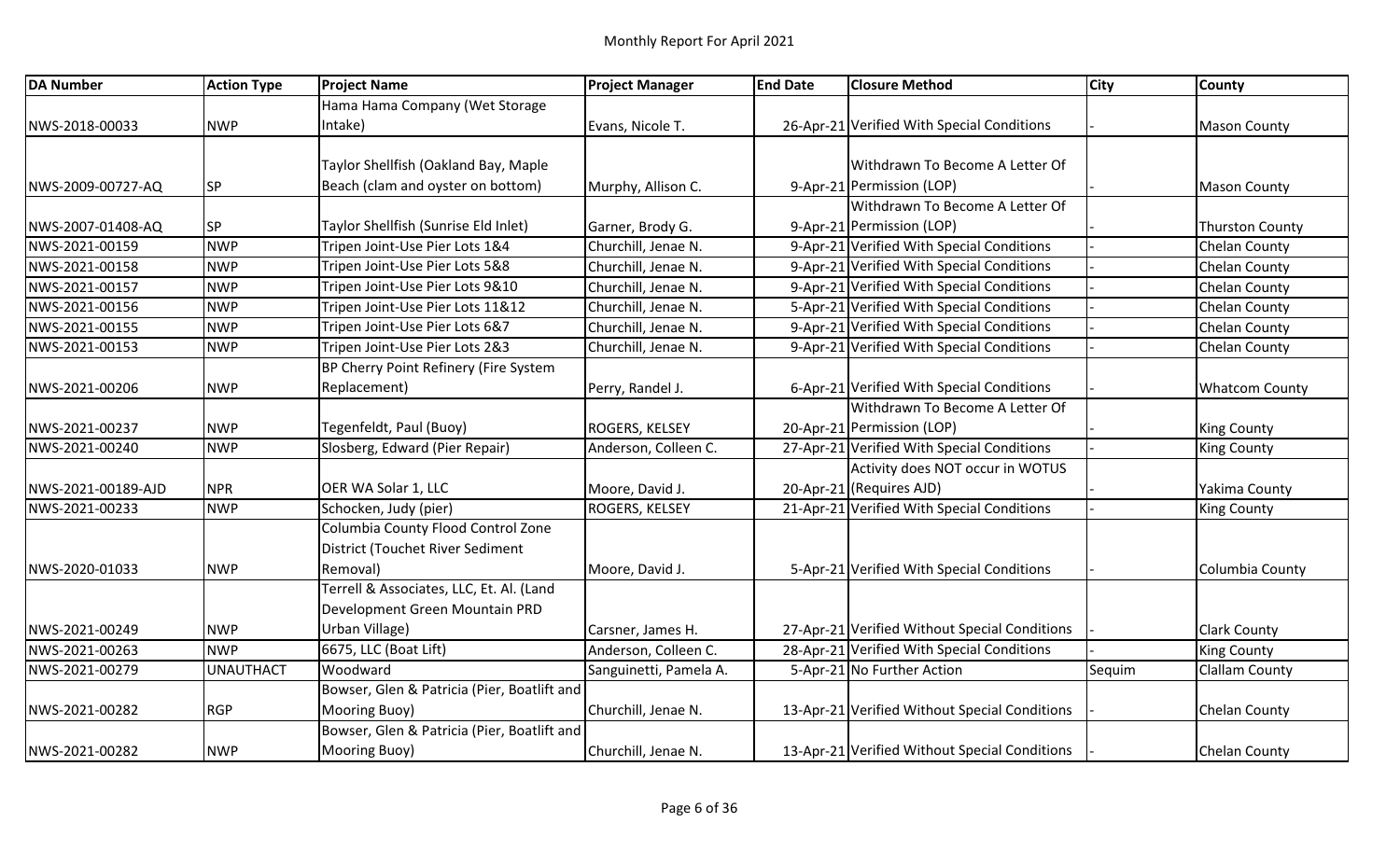| <b>DA Number</b>   | <b>Action Type</b> | <b>Project Name</b>                         | <b>Project Manager</b> | <b>End Date</b> | <b>Closure Method</b>                         | <b>City</b> | <b>County</b>          |
|--------------------|--------------------|---------------------------------------------|------------------------|-----------------|-----------------------------------------------|-------------|------------------------|
|                    |                    | Hama Hama Company (Wet Storage              |                        |                 |                                               |             |                        |
| NWS-2018-00033     | <b>NWP</b>         | Intake)                                     | Evans, Nicole T.       |                 | 26-Apr-21 Verified With Special Conditions    |             | <b>Mason County</b>    |
|                    |                    |                                             |                        |                 |                                               |             |                        |
|                    |                    | Taylor Shellfish (Oakland Bay, Maple        |                        |                 | Withdrawn To Become A Letter Of               |             |                        |
| NWS-2009-00727-AQ  | <b>SP</b>          | Beach (clam and oyster on bottom)           | Murphy, Allison C.     |                 | 9-Apr-21 Permission (LOP)                     |             | <b>Mason County</b>    |
|                    |                    |                                             |                        |                 | Withdrawn To Become A Letter Of               |             |                        |
| NWS-2007-01408-AQ  | <b>SP</b>          | Taylor Shellfish (Sunrise Eld Inlet)        | Garner, Brody G.       |                 | 9-Apr-21 Permission (LOP)                     |             | <b>Thurston County</b> |
| NWS-2021-00159     | <b>NWP</b>         | Tripen Joint-Use Pier Lots 1&4              | Churchill, Jenae N.    |                 | 9-Apr-21 Verified With Special Conditions     |             | <b>Chelan County</b>   |
| NWS-2021-00158     | <b>NWP</b>         | Tripen Joint-Use Pier Lots 5&8              | Churchill, Jenae N.    |                 | 9-Apr-21 Verified With Special Conditions     |             | <b>Chelan County</b>   |
| NWS-2021-00157     | <b>NWP</b>         | Tripen Joint-Use Pier Lots 9&10             | Churchill, Jenae N.    |                 | 9-Apr-21 Verified With Special Conditions     |             | Chelan County          |
| NWS-2021-00156     | <b>NWP</b>         | Tripen Joint-Use Pier Lots 11&12            | Churchill, Jenae N.    |                 | 5-Apr-21 Verified With Special Conditions     |             | <b>Chelan County</b>   |
| NWS-2021-00155     | <b>NWP</b>         | Tripen Joint-Use Pier Lots 6&7              | Churchill, Jenae N.    |                 | 9-Apr-21 Verified With Special Conditions     |             | Chelan County          |
| NWS-2021-00153     | <b>NWP</b>         | Tripen Joint-Use Pier Lots 2&3              | Churchill, Jenae N.    |                 | 9-Apr-21 Verified With Special Conditions     |             | <b>Chelan County</b>   |
|                    |                    | BP Cherry Point Refinery (Fire System       |                        |                 |                                               |             |                        |
| NWS-2021-00206     | <b>NWP</b>         | Replacement)                                | Perry, Randel J.       |                 | 6-Apr-21 Verified With Special Conditions     |             | <b>Whatcom County</b>  |
|                    |                    |                                             |                        |                 | Withdrawn To Become A Letter Of               |             |                        |
| NWS-2021-00237     | <b>NWP</b>         | Tegenfeldt, Paul (Buoy)                     | <b>ROGERS, KELSEY</b>  |                 | 20-Apr-21 Permission (LOP)                    |             | <b>King County</b>     |
| NWS-2021-00240     | <b>NWP</b>         | Slosberg, Edward (Pier Repair)              | Anderson, Colleen C.   |                 | 27-Apr-21 Verified With Special Conditions    |             | <b>King County</b>     |
|                    |                    |                                             |                        |                 | Activity does NOT occur in WOTUS              |             |                        |
| NWS-2021-00189-AJD | <b>NPR</b>         | OER WA Solar 1, LLC                         | Moore, David J.        |                 | 20-Apr-21 (Requires AJD)                      |             | Yakima County          |
| NWS-2021-00233     | <b>NWP</b>         | Schocken, Judy (pier)                       | <b>ROGERS, KELSEY</b>  |                 | 21-Apr-21 Verified With Special Conditions    |             | <b>King County</b>     |
|                    |                    | Columbia County Flood Control Zone          |                        |                 |                                               |             |                        |
|                    |                    | District (Touchet River Sediment            |                        |                 |                                               |             |                        |
| NWS-2020-01033     | <b>NWP</b>         | Removal)                                    | Moore, David J.        |                 | 5-Apr-21 Verified With Special Conditions     |             | Columbia County        |
|                    |                    | Terrell & Associates, LLC, Et. Al. (Land    |                        |                 |                                               |             |                        |
|                    |                    | Development Green Mountain PRD              |                        |                 |                                               |             |                        |
| NWS-2021-00249     | <b>NWP</b>         | Urban Village)                              | Carsner, James H.      |                 | 27-Apr-21 Verified Without Special Conditions |             | <b>Clark County</b>    |
| NWS-2021-00263     | <b>INWP</b>        | 6675, LLC (Boat Lift)                       | Anderson, Colleen C.   |                 | 28-Apr-21 Verified With Special Conditions    |             | <b>King County</b>     |
| NWS-2021-00279     | <b>UNAUTHACT</b>   | Woodward                                    | Sanguinetti, Pamela A. |                 | 5-Apr-21 No Further Action                    | Sequim      | <b>Clallam County</b>  |
|                    |                    | Bowser, Glen & Patricia (Pier, Boatlift and |                        |                 |                                               |             |                        |
| NWS-2021-00282     | <b>RGP</b>         | Mooring Buoy)                               | Churchill, Jenae N.    |                 | 13-Apr-21 Verified Without Special Conditions |             | Chelan County          |
|                    |                    | Bowser, Glen & Patricia (Pier, Boatlift and |                        |                 |                                               |             |                        |
| NWS-2021-00282     | <b>NWP</b>         | Mooring Buoy)                               | Churchill, Jenae N.    |                 | 13-Apr-21 Verified Without Special Conditions |             | Chelan County          |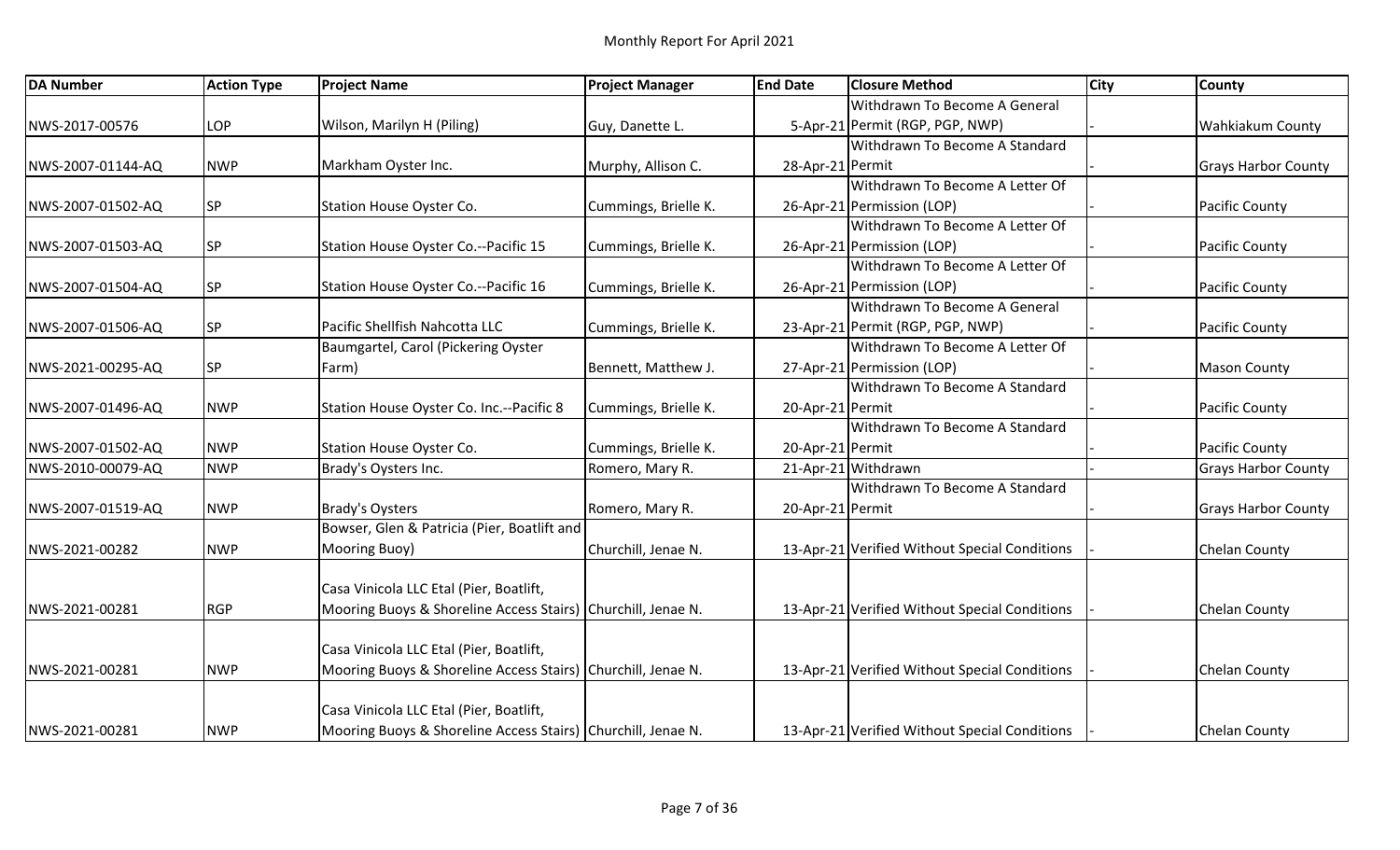| <b>DA Number</b>  | <b>Action Type</b> | <b>Project Name</b>                                          | <b>Project Manager</b> | <b>End Date</b>  | <b>Closure Method</b>                         | <b>City</b> | County                     |
|-------------------|--------------------|--------------------------------------------------------------|------------------------|------------------|-----------------------------------------------|-------------|----------------------------|
|                   |                    |                                                              |                        |                  | Withdrawn To Become A General                 |             |                            |
| NWS-2017-00576    | LOP                | Wilson, Marilyn H (Piling)                                   | Guy, Danette L.        |                  | 5-Apr-21 Permit (RGP, PGP, NWP)               |             | <b>Wahkiakum County</b>    |
|                   |                    |                                                              |                        |                  | Withdrawn To Become A Standard                |             |                            |
| NWS-2007-01144-AQ | <b>NWP</b>         | Markham Oyster Inc.                                          | Murphy, Allison C.     | 28-Apr-21 Permit |                                               |             | <b>Grays Harbor County</b> |
|                   |                    |                                                              |                        |                  | Withdrawn To Become A Letter Of               |             |                            |
| NWS-2007-01502-AQ | <b>SP</b>          | <b>Station House Oyster Co.</b>                              | Cummings, Brielle K.   |                  | 26-Apr-21 Permission (LOP)                    |             | <b>Pacific County</b>      |
|                   |                    |                                                              |                        |                  | Withdrawn To Become A Letter Of               |             |                            |
| NWS-2007-01503-AQ | <b>SP</b>          | Station House Oyster Co.--Pacific 15                         | Cummings, Brielle K.   |                  | 26-Apr-21 Permission (LOP)                    |             | <b>Pacific County</b>      |
|                   |                    |                                                              |                        |                  | Withdrawn To Become A Letter Of               |             |                            |
| NWS-2007-01504-AQ | <b>SP</b>          | Station House Oyster Co.--Pacific 16                         | Cummings, Brielle K.   |                  | 26-Apr-21 Permission (LOP)                    |             | <b>Pacific County</b>      |
|                   |                    |                                                              |                        |                  | Withdrawn To Become A General                 |             |                            |
| NWS-2007-01506-AQ | <b>SP</b>          | Pacific Shellfish Nahcotta LLC                               | Cummings, Brielle K.   |                  | 23-Apr-21 Permit (RGP, PGP, NWP)              |             | Pacific County             |
|                   |                    | Baumgartel, Carol (Pickering Oyster                          |                        |                  | Withdrawn To Become A Letter Of               |             |                            |
| NWS-2021-00295-AQ | <b>SP</b>          | Farm)                                                        | Bennett, Matthew J.    |                  | 27-Apr-21 Permission (LOP)                    |             | <b>Mason County</b>        |
|                   |                    |                                                              |                        |                  | Withdrawn To Become A Standard                |             |                            |
| NWS-2007-01496-AQ | <b>NWP</b>         | Station House Oyster Co. Inc.--Pacific 8                     | Cummings, Brielle K.   | 20-Apr-21 Permit |                                               |             | <b>Pacific County</b>      |
|                   |                    |                                                              |                        |                  | Withdrawn To Become A Standard                |             |                            |
| NWS-2007-01502-AQ | <b>NWP</b>         | Station House Oyster Co.                                     | Cummings, Brielle K.   | 20-Apr-21 Permit |                                               |             | <b>Pacific County</b>      |
| NWS-2010-00079-AQ | <b>NWP</b>         | Brady's Oysters Inc.                                         | Romero, Mary R.        |                  | 21-Apr-21 Withdrawn                           |             | <b>Grays Harbor County</b> |
|                   |                    |                                                              |                        |                  | Withdrawn To Become A Standard                |             |                            |
| NWS-2007-01519-AQ | <b>NWP</b>         | <b>Brady's Oysters</b>                                       | Romero, Mary R.        | 20-Apr-21 Permit |                                               |             | <b>Grays Harbor County</b> |
|                   |                    | Bowser, Glen & Patricia (Pier, Boatlift and                  |                        |                  |                                               |             |                            |
| NWS-2021-00282    | <b>NWP</b>         | Mooring Buoy)                                                | Churchill, Jenae N.    |                  | 13-Apr-21 Verified Without Special Conditions |             | Chelan County              |
|                   |                    |                                                              |                        |                  |                                               |             |                            |
|                   |                    | Casa Vinicola LLC Etal (Pier, Boatlift,                      |                        |                  |                                               |             |                            |
| NWS-2021-00281    | RGP                | Mooring Buoys & Shoreline Access Stairs) Churchill, Jenae N. |                        |                  | 13-Apr-21 Verified Without Special Conditions |             | Chelan County              |
|                   |                    |                                                              |                        |                  |                                               |             |                            |
|                   |                    | Casa Vinicola LLC Etal (Pier, Boatlift,                      |                        |                  |                                               |             |                            |
| NWS-2021-00281    | <b>NWP</b>         | Mooring Buoys & Shoreline Access Stairs) Churchill, Jenae N. |                        |                  | 13-Apr-21 Verified Without Special Conditions |             | Chelan County              |
|                   |                    |                                                              |                        |                  |                                               |             |                            |
|                   |                    | Casa Vinicola LLC Etal (Pier, Boatlift,                      |                        |                  |                                               |             |                            |
| NWS-2021-00281    | <b>NWP</b>         | Mooring Buoys & Shoreline Access Stairs) Churchill, Jenae N. |                        |                  | 13-Apr-21 Verified Without Special Conditions |             | Chelan County              |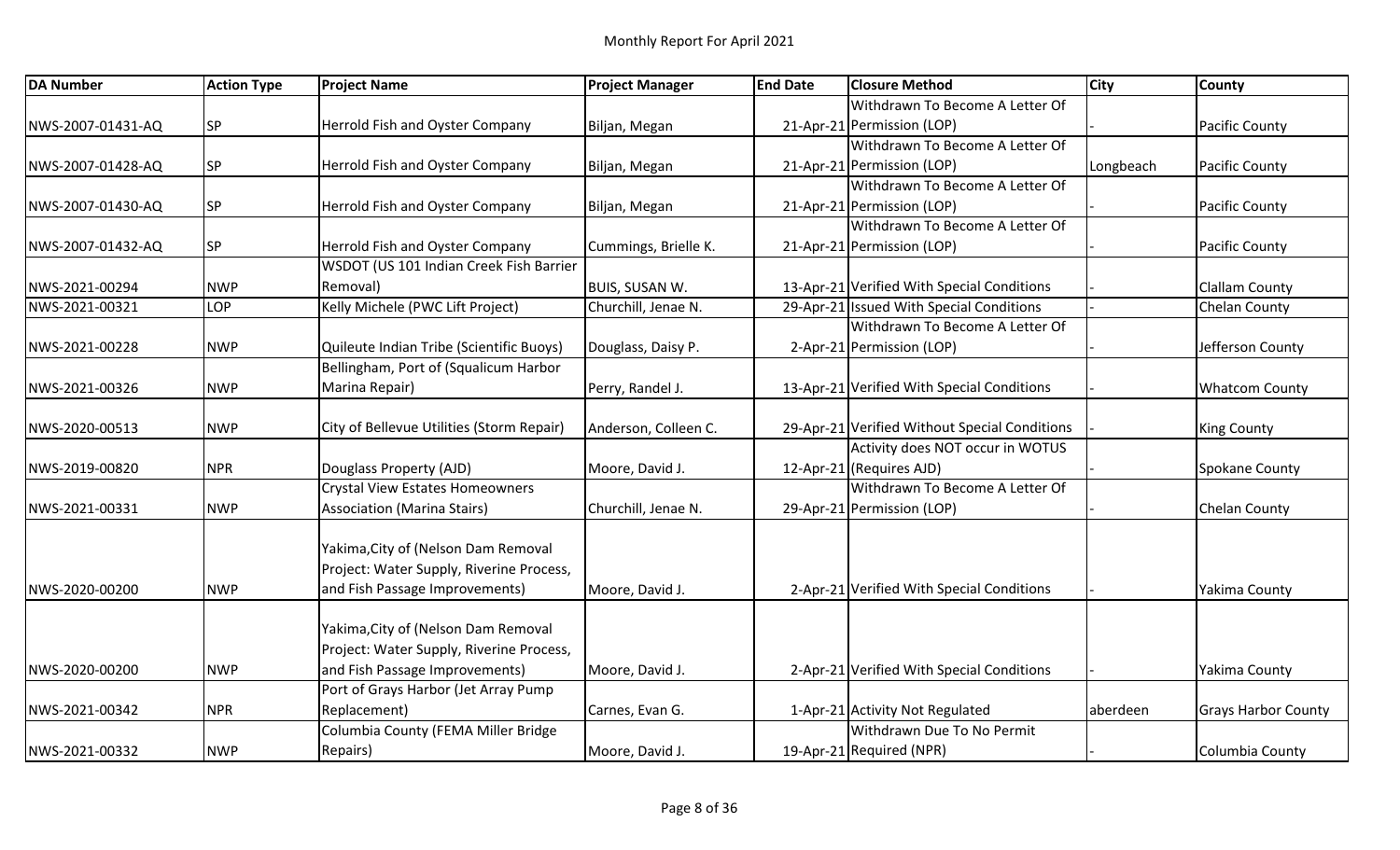| <b>DA Number</b>  | <b>Action Type</b> | <b>Project Name</b>                       | <b>Project Manager</b> | <b>End Date</b> | <b>Closure Method</b>                         | <b>City</b> | <b>County</b>              |
|-------------------|--------------------|-------------------------------------------|------------------------|-----------------|-----------------------------------------------|-------------|----------------------------|
|                   |                    |                                           |                        |                 | Withdrawn To Become A Letter Of               |             |                            |
| NWS-2007-01431-AQ | <b>SP</b>          | Herrold Fish and Oyster Company           | Biljan, Megan          |                 | 21-Apr-21 Permission (LOP)                    |             | <b>Pacific County</b>      |
|                   |                    |                                           |                        |                 | Withdrawn To Become A Letter Of               |             |                            |
| NWS-2007-01428-AQ | <b>SP</b>          | Herrold Fish and Oyster Company           | Biljan, Megan          |                 | 21-Apr-21 Permission (LOP)                    | Longbeach   | <b>Pacific County</b>      |
|                   |                    |                                           |                        |                 | Withdrawn To Become A Letter Of               |             |                            |
| NWS-2007-01430-AQ | <b>SP</b>          | Herrold Fish and Oyster Company           | Biljan, Megan          |                 | 21-Apr-21 Permission (LOP)                    |             | <b>Pacific County</b>      |
|                   |                    |                                           |                        |                 | Withdrawn To Become A Letter Of               |             |                            |
| NWS-2007-01432-AQ | <b>SP</b>          | Herrold Fish and Oyster Company           | Cummings, Brielle K.   |                 | 21-Apr-21 Permission (LOP)                    |             | Pacific County             |
|                   |                    | WSDOT (US 101 Indian Creek Fish Barrier   |                        |                 |                                               |             |                            |
| NWS-2021-00294    | <b>NWP</b>         | Removal)                                  | <b>BUIS, SUSAN W.</b>  |                 | 13-Apr-21 Verified With Special Conditions    |             | <b>Clallam County</b>      |
| NWS-2021-00321    | LOP                | Kelly Michele (PWC Lift Project)          | Churchill, Jenae N.    |                 | 29-Apr-21 Issued With Special Conditions      |             | <b>Chelan County</b>       |
|                   |                    |                                           |                        |                 | Withdrawn To Become A Letter Of               |             |                            |
| NWS-2021-00228    | <b>NWP</b>         | Quileute Indian Tribe (Scientific Buoys)  | Douglass, Daisy P.     |                 | 2-Apr-21 Permission (LOP)                     |             | Jefferson County           |
|                   |                    | Bellingham, Port of (Squalicum Harbor     |                        |                 |                                               |             |                            |
| NWS-2021-00326    | <b>NWP</b>         | Marina Repair)                            | Perry, Randel J.       |                 | 13-Apr-21 Verified With Special Conditions    |             | <b>Whatcom County</b>      |
|                   |                    |                                           |                        |                 |                                               |             |                            |
| NWS-2020-00513    | <b>NWP</b>         | City of Bellevue Utilities (Storm Repair) | Anderson, Colleen C.   |                 | 29-Apr-21 Verified Without Special Conditions |             | King County                |
|                   |                    |                                           |                        |                 | Activity does NOT occur in WOTUS              |             |                            |
| NWS-2019-00820    | <b>NPR</b>         | Douglass Property (AJD)                   | Moore, David J.        |                 | 12-Apr-21 (Requires AJD)                      |             | <b>Spokane County</b>      |
|                   |                    | <b>Crystal View Estates Homeowners</b>    |                        |                 | Withdrawn To Become A Letter Of               |             |                            |
| NWS-2021-00331    | <b>NWP</b>         | <b>Association (Marina Stairs)</b>        | Churchill, Jenae N.    |                 | 29-Apr-21 Permission (LOP)                    |             | <b>Chelan County</b>       |
|                   |                    |                                           |                        |                 |                                               |             |                            |
|                   |                    | Yakima, City of (Nelson Dam Removal       |                        |                 |                                               |             |                            |
|                   |                    | Project: Water Supply, Riverine Process,  |                        |                 |                                               |             |                            |
| NWS-2020-00200    | <b>NWP</b>         | and Fish Passage Improvements)            | Moore, David J.        |                 | 2-Apr-21 Verified With Special Conditions     |             | Yakima County              |
|                   |                    |                                           |                        |                 |                                               |             |                            |
|                   |                    | Yakima, City of (Nelson Dam Removal       |                        |                 |                                               |             |                            |
|                   |                    | Project: Water Supply, Riverine Process,  |                        |                 |                                               |             |                            |
| NWS-2020-00200    | <b>NWP</b>         | and Fish Passage Improvements)            | Moore, David J.        |                 | 2-Apr-21 Verified With Special Conditions     |             | Yakima County              |
|                   |                    | Port of Grays Harbor (Jet Array Pump      |                        |                 |                                               |             |                            |
| NWS-2021-00342    | <b>NPR</b>         | Replacement)                              | Carnes, Evan G.        |                 | 1-Apr-21 Activity Not Regulated               | aberdeen    | <b>Grays Harbor County</b> |
|                   |                    | Columbia County (FEMA Miller Bridge       |                        |                 | Withdrawn Due To No Permit                    |             |                            |
| NWS-2021-00332    | <b>NWP</b>         | Repairs)                                  | Moore, David J.        |                 | 19-Apr-21 Required (NPR)                      |             | Columbia County            |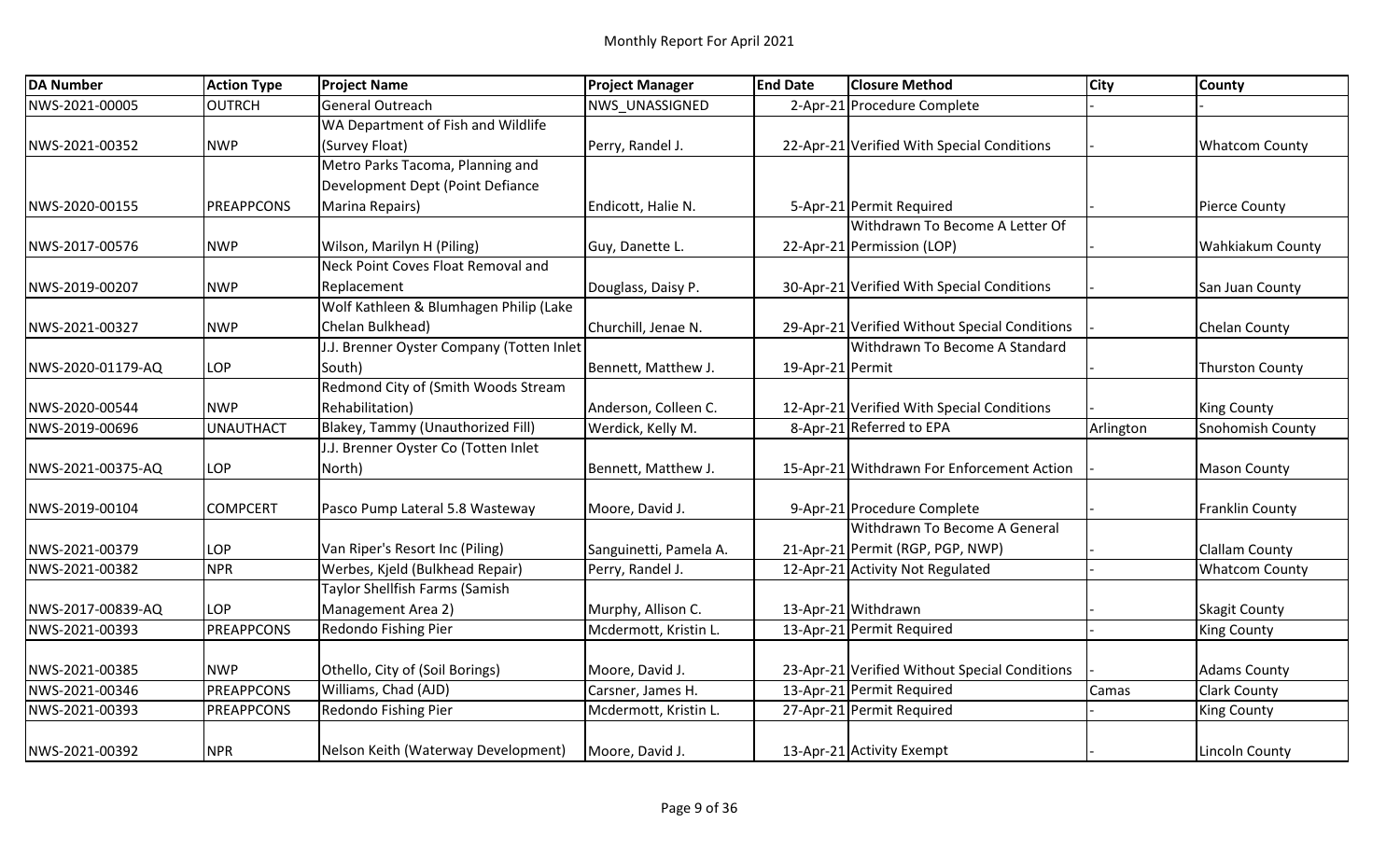| <b>DA Number</b>  | <b>Action Type</b> | <b>Project Name</b>                       | <b>Project Manager</b> | <b>End Date</b>  | <b>Closure Method</b>                         | <b>City</b> | <b>County</b>           |
|-------------------|--------------------|-------------------------------------------|------------------------|------------------|-----------------------------------------------|-------------|-------------------------|
| NWS-2021-00005    | OUTRCH             | General Outreach                          | NWS UNASSIGNED         |                  | 2-Apr-21 Procedure Complete                   |             |                         |
|                   |                    | WA Department of Fish and Wildlife        |                        |                  |                                               |             |                         |
| NWS-2021-00352    | <b>NWP</b>         | (Survey Float)                            | Perry, Randel J.       |                  | 22-Apr-21 Verified With Special Conditions    |             | <b>Whatcom County</b>   |
|                   |                    | Metro Parks Tacoma, Planning and          |                        |                  |                                               |             |                         |
|                   |                    | Development Dept (Point Defiance          |                        |                  |                                               |             |                         |
| NWS-2020-00155    | PREAPPCONS         | Marina Repairs)                           | Endicott, Halie N.     |                  | 5-Apr-21 Permit Required                      |             | <b>Pierce County</b>    |
|                   |                    |                                           |                        |                  | Withdrawn To Become A Letter Of               |             |                         |
| NWS-2017-00576    | <b>NWP</b>         | Wilson, Marilyn H (Piling)                | Guy, Danette L.        |                  | 22-Apr-21 Permission (LOP)                    |             | <b>Wahkiakum County</b> |
|                   |                    | Neck Point Coves Float Removal and        |                        |                  |                                               |             |                         |
| NWS-2019-00207    | <b>NWP</b>         | Replacement                               | Douglass, Daisy P.     |                  | 30-Apr-21 Verified With Special Conditions    |             | San Juan County         |
|                   |                    | Wolf Kathleen & Blumhagen Philip (Lake    |                        |                  |                                               |             |                         |
| NWS-2021-00327    | <b>NWP</b>         | Chelan Bulkhead)                          | Churchill, Jenae N.    |                  | 29-Apr-21 Verified Without Special Conditions |             | <b>Chelan County</b>    |
|                   |                    | J.J. Brenner Oyster Company (Totten Inlet |                        |                  | Withdrawn To Become A Standard                |             |                         |
| NWS-2020-01179-AQ | LOP                | South)                                    | Bennett, Matthew J.    | 19-Apr-21 Permit |                                               |             | <b>Thurston County</b>  |
|                   |                    | Redmond City of (Smith Woods Stream       |                        |                  |                                               |             |                         |
| NWS-2020-00544    | <b>INWP</b>        | Rehabilitation)                           | Anderson, Colleen C.   |                  | 12-Apr-21 Verified With Special Conditions    |             | <b>King County</b>      |
| NWS-2019-00696    | <b>UNAUTHACT</b>   | Blakey, Tammy (Unauthorized Fill)         | Werdick, Kelly M.      |                  | 8-Apr-21 Referred to EPA                      | Arlington   | Snohomish County        |
|                   |                    | J.J. Brenner Oyster Co (Totten Inlet      |                        |                  |                                               |             |                         |
| NWS-2021-00375-AQ | LOP                | North)                                    | Bennett, Matthew J.    |                  | 15-Apr-21 Withdrawn For Enforcement Action    |             | <b>Mason County</b>     |
|                   |                    |                                           |                        |                  |                                               |             |                         |
| NWS-2019-00104    | <b>COMPCERT</b>    | Pasco Pump Lateral 5.8 Wasteway           | Moore, David J.        |                  | 9-Apr-21 Procedure Complete                   |             | <b>Franklin County</b>  |
|                   |                    |                                           |                        |                  | Withdrawn To Become A General                 |             |                         |
| NWS-2021-00379    | LOP                | Van Riper's Resort Inc (Piling)           | Sanguinetti, Pamela A. |                  | 21-Apr-21 Permit (RGP, PGP, NWP)              |             | <b>Clallam County</b>   |
| NWS-2021-00382    | <b>NPR</b>         | Werbes, Kjeld (Bulkhead Repair)           | Perry, Randel J.       |                  | 12-Apr-21 Activity Not Regulated              |             | <b>Whatcom County</b>   |
|                   |                    | Taylor Shellfish Farms (Samish            |                        |                  |                                               |             |                         |
| NWS-2017-00839-AQ | LOP                | Management Area 2)                        | Murphy, Allison C.     |                  | 13-Apr-21 Withdrawn                           |             | <b>Skagit County</b>    |
| NWS-2021-00393    | PREAPPCONS         | Redondo Fishing Pier                      | Mcdermott, Kristin L.  |                  | 13-Apr-21 Permit Required                     |             | <b>King County</b>      |
| NWS-2021-00385    | <b>NWP</b>         | Othello, City of (Soil Borings)           | Moore, David J.        |                  | 23-Apr-21 Verified Without Special Conditions |             | <b>Adams County</b>     |
| NWS-2021-00346    | PREAPPCONS         | Williams, Chad (AJD)                      | Carsner, James H.      |                  | 13-Apr-21 Permit Required                     | Camas       | <b>Clark County</b>     |
| NWS-2021-00393    | PREAPPCONS         | Redondo Fishing Pier                      | Mcdermott, Kristin L.  |                  | 27-Apr-21 Permit Required                     |             | <b>King County</b>      |
|                   |                    |                                           |                        |                  |                                               |             |                         |
| NWS-2021-00392    | NPR <sub></sub>    | Nelson Keith (Waterway Development)       | Moore, David J.        |                  | 13-Apr-21 Activity Exempt                     |             | Lincoln County          |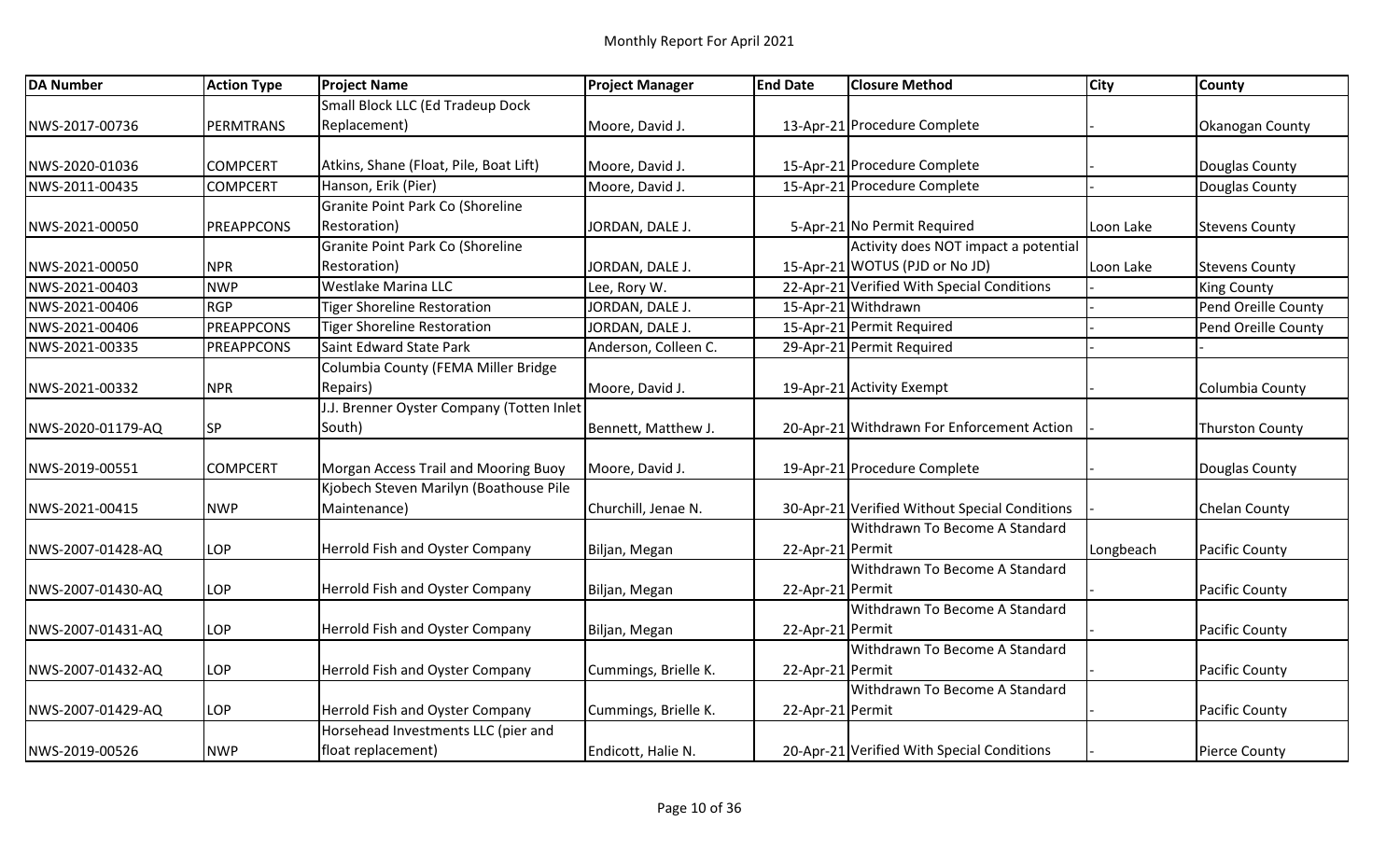| <b>DA Number</b>  | <b>Action Type</b> | <b>Project Name</b>                       | <b>Project Manager</b> | <b>End Date</b>  | <b>Closure Method</b>                         | <b>City</b> | <b>County</b>          |
|-------------------|--------------------|-------------------------------------------|------------------------|------------------|-----------------------------------------------|-------------|------------------------|
|                   |                    | Small Block LLC (Ed Tradeup Dock          |                        |                  |                                               |             |                        |
| NWS-2017-00736    | PERMTRANS          | Replacement)                              | Moore, David J.        |                  | 13-Apr-21 Procedure Complete                  |             | Okanogan County        |
| NWS-2020-01036    | <b>COMPCERT</b>    | Atkins, Shane (Float, Pile, Boat Lift)    | Moore, David J.        |                  | 15-Apr-21 Procedure Complete                  |             | Douglas County         |
| NWS-2011-00435    | <b>COMPCERT</b>    | Hanson, Erik (Pier)                       | Moore, David J.        |                  | 15-Apr-21 Procedure Complete                  |             | Douglas County         |
|                   |                    | Granite Point Park Co (Shoreline          |                        |                  |                                               |             |                        |
| NWS-2021-00050    | PREAPPCONS         | Restoration)                              | JORDAN, DALE J.        |                  | 5-Apr-21 No Permit Required                   | Loon Lake   | <b>Stevens County</b>  |
|                   |                    | <b>Granite Point Park Co (Shoreline</b>   |                        |                  | Activity does NOT impact a potential          |             |                        |
| NWS-2021-00050    | <b>NPR</b>         | Restoration)                              | JORDAN, DALE J.        |                  | 15-Apr-21 WOTUS (PJD or No JD)                | Loon Lake   | <b>Stevens County</b>  |
| NWS-2021-00403    | <b>NWP</b>         | Westlake Marina LLC                       | Lee, Rory W.           |                  | 22-Apr-21 Verified With Special Conditions    |             | <b>King County</b>     |
| NWS-2021-00406    | RGP                | <b>Tiger Shoreline Restoration</b>        | JORDAN, DALE J.        |                  | 15-Apr-21 Withdrawn                           |             | Pend Oreille County    |
| NWS-2021-00406    | PREAPPCONS         | <b>Tiger Shoreline Restoration</b>        | JORDAN, DALE J.        |                  | 15-Apr-21 Permit Required                     |             | Pend Oreille County    |
| NWS-2021-00335    | <b>PREAPPCONS</b>  | Saint Edward State Park                   | Anderson, Colleen C.   |                  | 29-Apr-21 Permit Required                     |             |                        |
|                   |                    | Columbia County (FEMA Miller Bridge       |                        |                  |                                               |             |                        |
| NWS-2021-00332    | <b>NPR</b>         | Repairs)                                  | Moore, David J.        |                  | 19-Apr-21 Activity Exempt                     |             | Columbia County        |
|                   |                    | J.J. Brenner Oyster Company (Totten Inlet |                        |                  |                                               |             |                        |
| NWS-2020-01179-AQ | <b>SP</b>          | South)                                    | Bennett, Matthew J.    |                  | 20-Apr-21 Withdrawn For Enforcement Action    |             | <b>Thurston County</b> |
| NWS-2019-00551    | <b>COMPCERT</b>    | Morgan Access Trail and Mooring Buoy      | Moore, David J.        |                  | 19-Apr-21 Procedure Complete                  |             | Douglas County         |
|                   |                    | Kjobech Steven Marilyn (Boathouse Pile    |                        |                  |                                               |             |                        |
| NWS-2021-00415    | <b>NWP</b>         | Maintenance)                              | Churchill, Jenae N.    |                  | 30-Apr-21 Verified Without Special Conditions |             | <b>Chelan County</b>   |
|                   |                    |                                           |                        |                  | Withdrawn To Become A Standard                |             |                        |
| NWS-2007-01428-AQ | LOP                | Herrold Fish and Oyster Company           | Biljan, Megan          | 22-Apr-21 Permit |                                               | Longbeach   | <b>Pacific County</b>  |
|                   |                    |                                           |                        |                  | Withdrawn To Become A Standard                |             |                        |
| NWS-2007-01430-AQ | LOP                | Herrold Fish and Oyster Company           | Biljan, Megan          | 22-Apr-21 Permit |                                               |             | <b>Pacific County</b>  |
|                   |                    |                                           |                        |                  | Withdrawn To Become A Standard                |             |                        |
| NWS-2007-01431-AQ | LOP                | Herrold Fish and Oyster Company           | Biljan, Megan          | 22-Apr-21 Permit |                                               |             | Pacific County         |
|                   |                    |                                           |                        |                  | Withdrawn To Become A Standard                |             |                        |
| NWS-2007-01432-AQ | LOP                | Herrold Fish and Oyster Company           | Cummings, Brielle K.   | 22-Apr-21 Permit |                                               |             | Pacific County         |
|                   |                    |                                           |                        |                  | Withdrawn To Become A Standard                |             |                        |
| NWS-2007-01429-AQ | LOP                | Herrold Fish and Oyster Company           | Cummings, Brielle K.   | 22-Apr-21 Permit |                                               |             | <b>Pacific County</b>  |
|                   |                    | Horsehead Investments LLC (pier and       |                        |                  |                                               |             |                        |
| NWS-2019-00526    | <b>NWP</b>         | float replacement)                        | Endicott, Halie N.     |                  | 20-Apr-21 Verified With Special Conditions    |             | Pierce County          |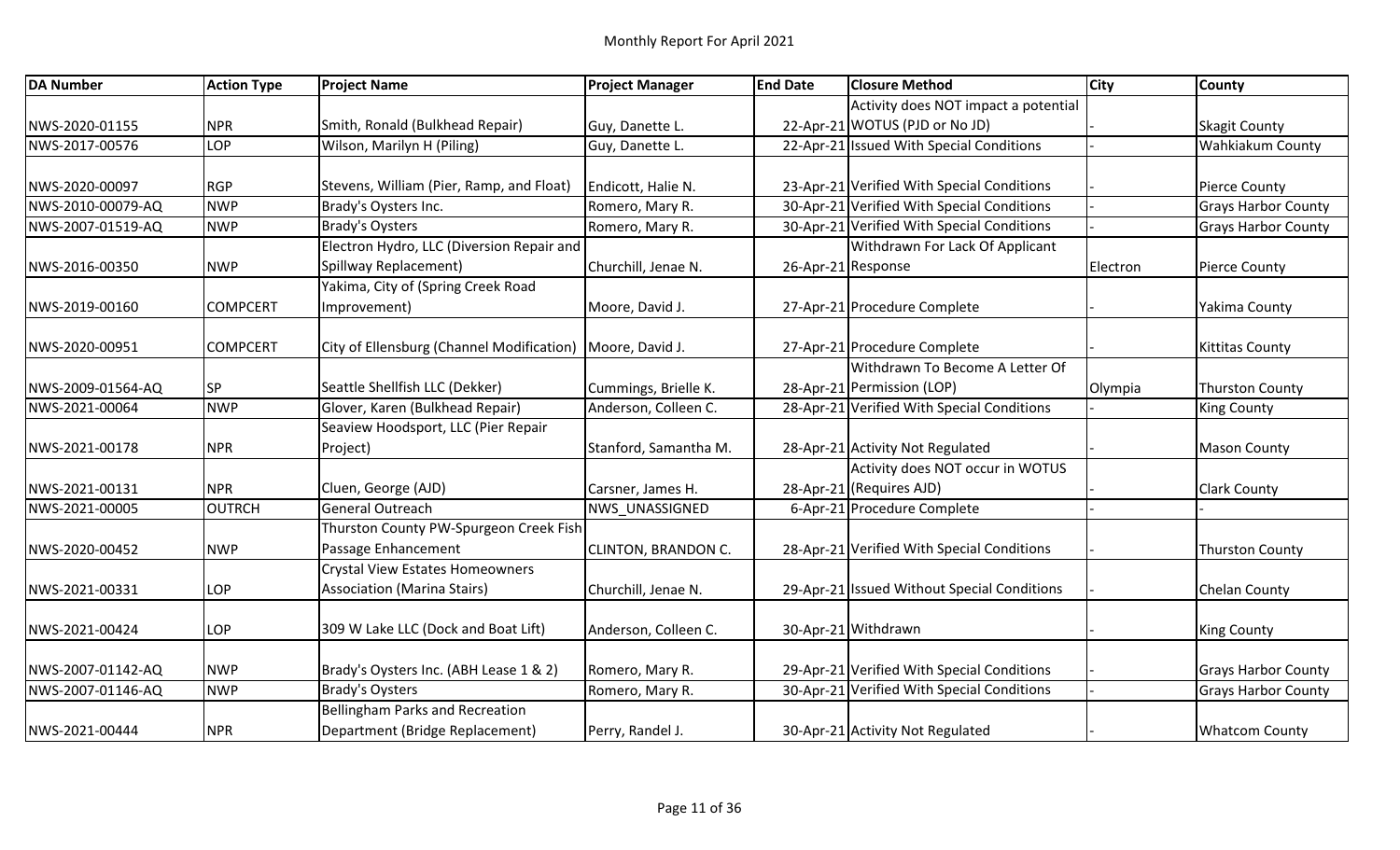| <b>DA Number</b>  | <b>Action Type</b> | <b>Project Name</b>                                         | <b>Project Manager</b> | <b>End Date</b> | <b>Closure Method</b>                       | <b>City</b> | <b>County</b>              |
|-------------------|--------------------|-------------------------------------------------------------|------------------------|-----------------|---------------------------------------------|-------------|----------------------------|
|                   |                    |                                                             |                        |                 | Activity does NOT impact a potential        |             |                            |
| NWS-2020-01155    | <b>NPR</b>         | Smith, Ronald (Bulkhead Repair)                             | Guy, Danette L.        |                 | 22-Apr-21 WOTUS (PJD or No JD)              |             | <b>Skagit County</b>       |
| NWS-2017-00576    | LOP                | Wilson, Marilyn H (Piling)                                  | Guy, Danette L.        |                 | 22-Apr-21 Issued With Special Conditions    |             | Wahkiakum County           |
|                   |                    |                                                             |                        |                 |                                             |             |                            |
| NWS-2020-00097    | RGP                | Stevens, William (Pier, Ramp, and Float)                    | Endicott, Halie N.     |                 | 23-Apr-21 Verified With Special Conditions  |             | <b>Pierce County</b>       |
| NWS-2010-00079-AQ | <b>NWP</b>         | Brady's Oysters Inc.                                        | Romero, Mary R.        |                 | 30-Apr-21 Verified With Special Conditions  |             | <b>Grays Harbor County</b> |
| NWS-2007-01519-AQ | <b>NWP</b>         | <b>Brady's Oysters</b>                                      | Romero, Mary R.        |                 | 30-Apr-21 Verified With Special Conditions  |             | <b>Grays Harbor County</b> |
|                   |                    | Electron Hydro, LLC (Diversion Repair and                   |                        |                 | Withdrawn For Lack Of Applicant             |             |                            |
| NWS-2016-00350    | <b>NWP</b>         | Spillway Replacement)                                       | Churchill, Jenae N.    |                 | 26-Apr-21 Response                          | Electron    | <b>Pierce County</b>       |
|                   |                    | Yakima, City of (Spring Creek Road                          |                        |                 |                                             |             |                            |
| NWS-2019-00160    | <b>COMPCERT</b>    | Improvement)                                                | Moore, David J.        |                 | 27-Apr-21 Procedure Complete                |             | Yakima County              |
| NWS-2020-00951    | <b>COMPCERT</b>    | City of Ellensburg (Channel Modification)   Moore, David J. |                        |                 | 27-Apr-21 Procedure Complete                |             | <b>Kittitas County</b>     |
|                   |                    |                                                             |                        |                 | Withdrawn To Become A Letter Of             |             |                            |
| NWS-2009-01564-AQ | <b>SP</b>          | Seattle Shellfish LLC (Dekker)                              | Cummings, Brielle K.   |                 | 28-Apr-21 Permission (LOP)                  | Olympia     | <b>Thurston County</b>     |
| NWS-2021-00064    | <b>NWP</b>         | Glover, Karen (Bulkhead Repair)                             | Anderson, Colleen C.   |                 | 28-Apr-21 Verified With Special Conditions  |             | <b>King County</b>         |
|                   |                    | Seaview Hoodsport, LLC (Pier Repair                         |                        |                 |                                             |             |                            |
| NWS-2021-00178    | NPR <sub></sub>    | Project)                                                    | Stanford, Samantha M.  |                 | 28-Apr-21 Activity Not Regulated            |             | <b>Mason County</b>        |
|                   |                    |                                                             |                        |                 | Activity does NOT occur in WOTUS            |             |                            |
| NWS-2021-00131    | <b>NPR</b>         | Cluen, George (AJD)                                         | Carsner, James H.      |                 | 28-Apr-21 (Requires AJD)                    |             | <b>Clark County</b>        |
| NWS-2021-00005    | OUTRCH             | General Outreach                                            | <b>NWS UNASSIGNED</b>  |                 | 6-Apr-21 Procedure Complete                 |             |                            |
|                   |                    | Thurston County PW-Spurgeon Creek Fish                      |                        |                 |                                             |             |                            |
| NWS-2020-00452    | <b>NWP</b>         | Passage Enhancement                                         | CLINTON, BRANDON C.    |                 | 28-Apr-21 Verified With Special Conditions  |             | <b>Thurston County</b>     |
|                   |                    | <b>Crystal View Estates Homeowners</b>                      |                        |                 |                                             |             |                            |
| NWS-2021-00331    | LOP                | <b>Association (Marina Stairs)</b>                          | Churchill, Jenae N.    |                 | 29-Apr-21 Issued Without Special Conditions |             | <b>Chelan County</b>       |
|                   |                    |                                                             |                        |                 |                                             |             |                            |
| NWS-2021-00424    | LOP                | 309 W Lake LLC (Dock and Boat Lift)                         | Anderson, Colleen C.   |                 | 30-Apr-21 Withdrawn                         |             | <b>King County</b>         |
| NWS-2007-01142-AQ | <b>NWP</b>         | Brady's Oysters Inc. (ABH Lease 1 & 2)                      | Romero, Mary R.        |                 | 29-Apr-21 Verified With Special Conditions  |             | <b>Grays Harbor County</b> |
| NWS-2007-01146-AQ | <b>NWP</b>         | <b>Brady's Oysters</b>                                      | Romero, Mary R.        |                 | 30-Apr-21 Verified With Special Conditions  |             | <b>Grays Harbor County</b> |
|                   |                    | <b>Bellingham Parks and Recreation</b>                      |                        |                 |                                             |             |                            |
| NWS-2021-00444    | <b>NPR</b>         | Department (Bridge Replacement)                             | Perry, Randel J.       |                 | 30-Apr-21 Activity Not Regulated            |             | <b>Whatcom County</b>      |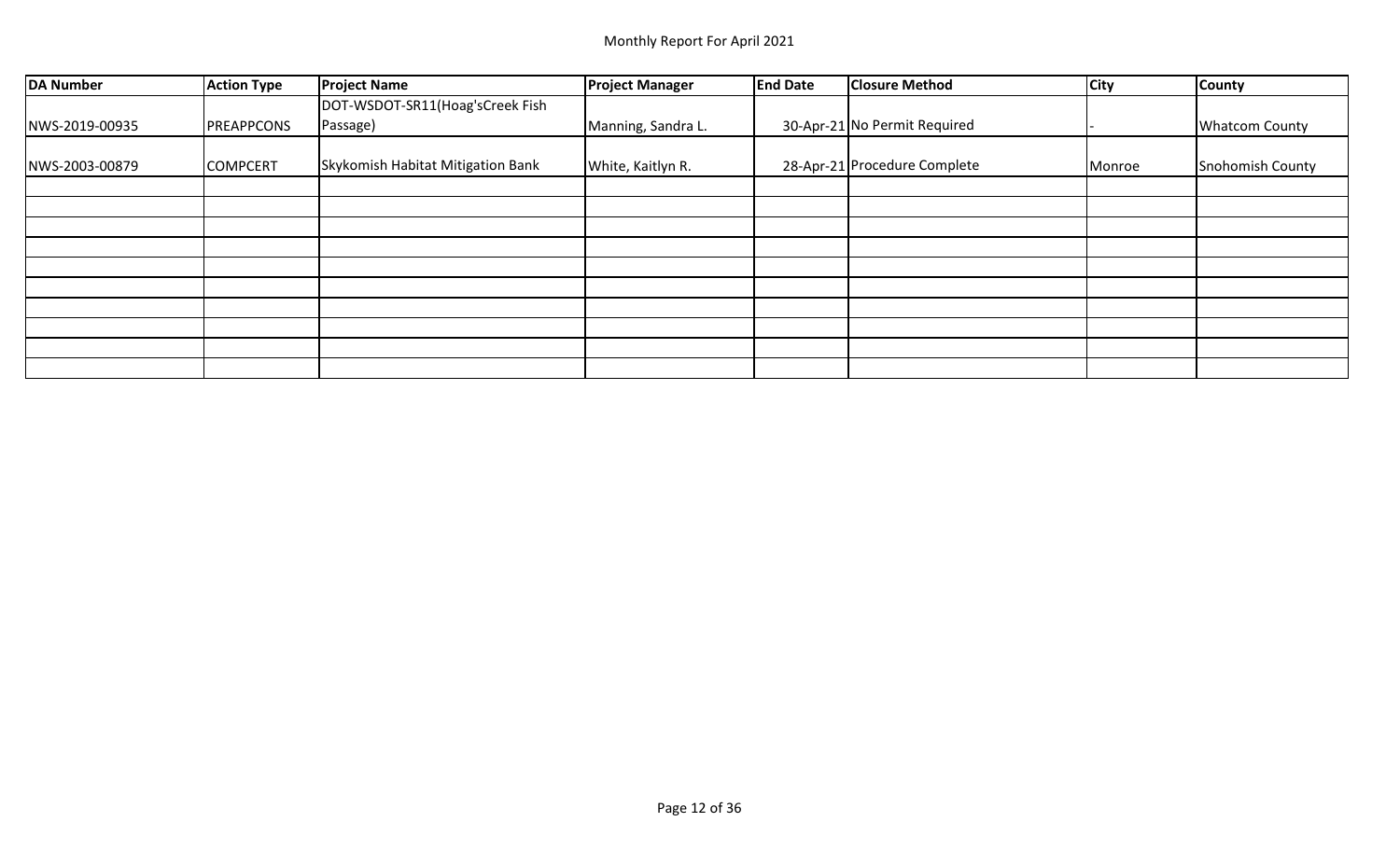| DA Number      | <b>Action Type</b> | <b>Project Name</b>               | <b>Project Manager</b> | <b>End Date</b> | <b>Closure Method</b>        | <b>City</b> | <b>County</b>         |
|----------------|--------------------|-----------------------------------|------------------------|-----------------|------------------------------|-------------|-----------------------|
|                |                    | DOT-WSDOT-SR11(Hoag'sCreek Fish   |                        |                 |                              |             |                       |
| NWS-2019-00935 | PREAPPCONS         | Passage)                          | Manning, Sandra L.     |                 | 30-Apr-21 No Permit Required |             | <b>Whatcom County</b> |
| NWS-2003-00879 | <b>COMPCERT</b>    | Skykomish Habitat Mitigation Bank | White, Kaitlyn R.      |                 | 28-Apr-21 Procedure Complete | Monroe      | Snohomish County      |
|                |                    |                                   |                        |                 |                              |             |                       |
|                |                    |                                   |                        |                 |                              |             |                       |
|                |                    |                                   |                        |                 |                              |             |                       |
|                |                    |                                   |                        |                 |                              |             |                       |
|                |                    |                                   |                        |                 |                              |             |                       |
|                |                    |                                   |                        |                 |                              |             |                       |
|                |                    |                                   |                        |                 |                              |             |                       |
|                |                    |                                   |                        |                 |                              |             |                       |
|                |                    |                                   |                        |                 |                              |             |                       |
|                |                    |                                   |                        |                 |                              |             |                       |